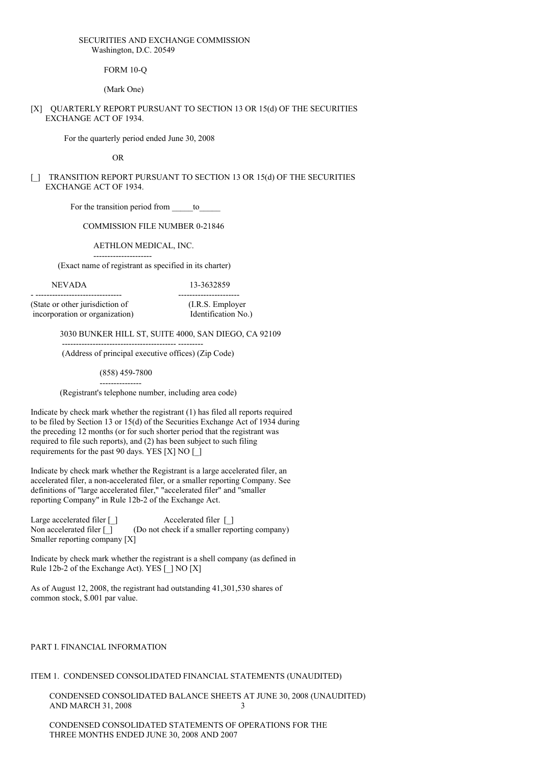### SECURITIES AND EXCHANGE COMMISSION Washington, D.C. 20549

FORM 10-Q

(Mark One)

## [X] QUARTERLY REPORT PURSUANT TO SECTION 13 OR 15(d) OF THE SECURITIES EXCHANGE ACT OF 1934.

For the quarterly period ended June 30, 2008

OR

## [] TRANSITION REPORT PURSUANT TO SECTION 13 OR 15(d) OF THE SECURITIES EXCHANGE ACT OF 1934.

For the transition period from to

COMMISSION FILE NUMBER 0-21846

## AETHLON MEDICAL, INC.

--------------------- (Exact name of registrant as specified in its charter)

## NEVADA 13-3632859

- ------------------------------- ---------------------- (State or other jurisdiction of (I.R.S. Employer incorporation or organization) Identification No.)

3030 BUNKER HILL ST, SUITE 4000, SAN DIEGO, CA 92109

(Address of principal executive offices) (Zip Code)

----------------------------------------- ---------

(858) 459-7800

--------------- (Registrant's telephone number, including area code)

Indicate by check mark whether the registrant (1) has filed all reports required to be filed by Section 13 or 15(d) of the Securities Exchange Act of 1934 during the preceding 12 months (or for such shorter period that the registrant was required to file such reports), and (2) has been subject to such filing requirements for the past 90 days. YES [X] NO [\_]

Indicate by check mark whether the Registrant is a large accelerated filer, an accelerated filer, a non-accelerated filer, or a smaller reporting Company. See definitions of "large accelerated filer," "accelerated filer" and "smaller reporting Company" in Rule 12b-2 of the Exchange Act.

Large accelerated filer [\_] <br>Non accelerated filer [ ] <br>(Do not check if a smaller rep (Do not check if a smaller reporting company) Smaller reporting company [X]

Indicate by check mark whether the registrant is a shell company (as defined in Rule 12b-2 of the Exchange Act). YES [ ] NO [X]

As of August 12, 2008, the registrant had outstanding 41,301,530 shares of common stock, \$.001 par value.

## PART I. FINANCIAL INFORMATION

# ITEM 1. CONDENSED CONSOLIDATED FINANCIAL STATEMENTS (UNAUDITED)

CONDENSED CONSOLIDATED BALANCE SHEETS AT JUNE 30, 2008 (UNAUDITED) AND MARCH 31, 2008 3

CONDENSED CONSOLIDATED STATEMENTS OF OPERATIONS FOR THE THREE MONTHS ENDED JUNE 30, 2008 AND 2007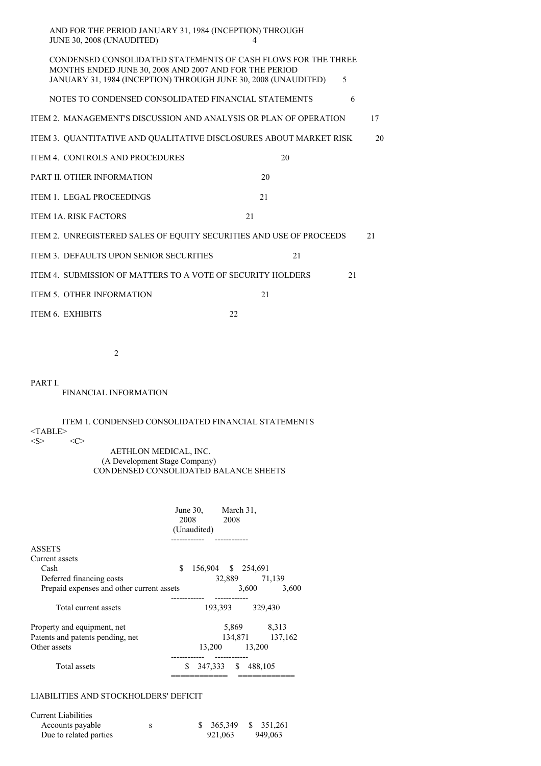CONDENSED CONSOLIDATED STATEMENTS OF CASH FLOWS FOR THE THREE MONTHS ENDED JUNE 30, 2008 AND 2007 AND FOR THE PERIOD JANUARY 31, 1984 (INCEPTION) THROUGH JUNE 30, 2008 (UNAUDITED) 5 NOTES TO CONDENSED CONSOLIDATED FINANCIAL STATEMENTS 6 ITEM 2. MANAGEMENT'S DISCUSSION AND ANALYSIS OR PLAN OF OPERATION 17 ITEM 3. QUANTITATIVE AND QUALITATIVE DISCLOSURES ABOUT MARKET RISK 20 ITEM 4. CONTROLS AND PROCEDURES 20 PART II. OTHER INFORMATION 20 ITEM 1. LEGAL PROCEEDINGS 21 ITEM 1A. RISK FACTORS 21 ITEM 2. UNREGISTERED SALES OF EQUITY SECURITIES AND USE OF PROCEEDS 21 ITEM 3. DEFAULTS UPON SENIOR SECURITIES 21 ITEM 4. SUBMISSION OF MATTERS TO A VOTE OF SECURITY HOLDERS 21 ITEM 5. OTHER INFORMATION 21 ITEM 6. EXHIBITS 22

2

PART I.

FINANCIAL INFORMATION

ITEM 1. CONDENSED CONSOLIDATED FINANCIAL STATEMENTS <TABLE>  $\langle S \rangle$   $\langle C \rangle$ 

### AETHLON MEDICAL, INC. (A Development Stage Company) CONDENSED CONSOLIDATED BALANCE SHEETS

|                                           | June $30$ ,<br>2008<br>(Unaudited) | March 31,<br>2008 |         |                 |
|-------------------------------------------|------------------------------------|-------------------|---------|-----------------|
| <b>ASSETS</b>                             |                                    |                   |         |                 |
| Current assets                            |                                    |                   |         |                 |
| Cash                                      | \$<br>156,904 \$ 254,691           |                   |         |                 |
| Deferred financing costs                  |                                    | 32,889 71,139     |         |                 |
| Prepaid expenses and other current assets |                                    |                   | 3.600   | 3,600           |
|                                           |                                    |                   |         |                 |
| Total current assets                      |                                    | 193,393           |         | 329,430         |
| Property and equipment, net               |                                    |                   | 5,869   | 8,313           |
| Patents and patents pending, net          |                                    |                   |         | 134,871 137,162 |
| Other assets                              |                                    | 13,200 13,200     |         |                 |
| Total assets                              | \$                                 | 347,333 \$        | 488,105 |                 |

## LIABILITIES AND STOCKHOLDERS' DEFICIT

| Current Liabilities    |   |                       |         |
|------------------------|---|-----------------------|---------|
| Accounts payable       | s | $$365,349$ $$351,261$ |         |
| Due to related parties |   | 921,063               | 949.063 |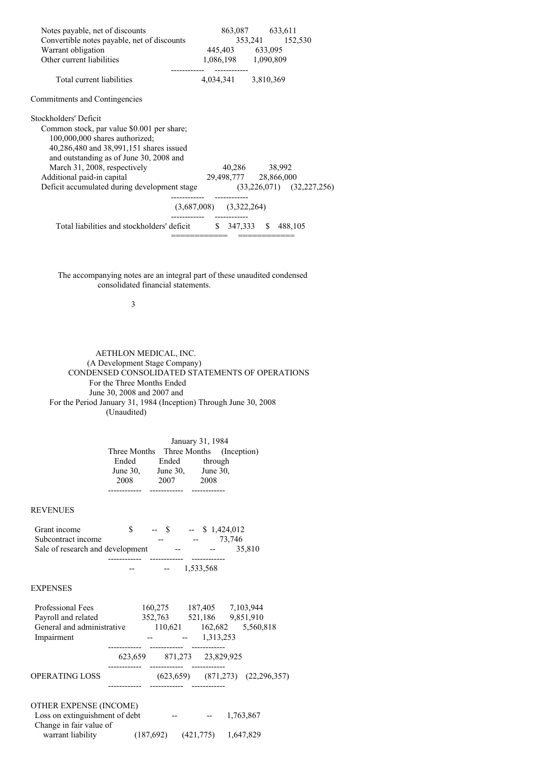| Notes payable, net of discounts                                        |                             | 863,087 633,611       |  |                 |  |
|------------------------------------------------------------------------|-----------------------------|-----------------------|--|-----------------|--|
| Convertible notes payable, net of discounts                            |                             |                       |  | 353,241 152,530 |  |
| Warrant obligation                                                     |                             | 445,403 633,095       |  |                 |  |
| Other current liabilities                                              |                             | 1,086,198 1,090,809   |  |                 |  |
| Total current liabilities                                              |                             | 4,034,341 3,810,369   |  |                 |  |
| Commitments and Contingencies                                          |                             |                       |  |                 |  |
| Stockholders' Deficit                                                  |                             |                       |  |                 |  |
| Common stock, par value \$0.001 per share;                             |                             |                       |  |                 |  |
| 100,000,000 shares authorized;                                         |                             |                       |  |                 |  |
| 40,286,480 and 38,991,151 shares issued                                |                             |                       |  |                 |  |
| and outstanding as of June 30, 2008 and                                |                             |                       |  |                 |  |
| March 31, 2008, respectively                                           |                             | 40,286 38,992         |  |                 |  |
| Additional paid-in capital                                             |                             | 29,498,777 28,866,000 |  |                 |  |
| Deficit accumulated during development stage (33,226,071) (32,227,256) |                             |                       |  |                 |  |
|                                                                        | $(3,687,008)$ $(3,322,264)$ |                       |  |                 |  |
| Total liabilities and stockholders' deficit \$ 347,333 \$ 488,105      |                             |                       |  |                 |  |
|                                                                        |                             |                       |  |                 |  |

The accompanying notes are an integral part of these unaudited condensed consolidated financial statements.

3

## AETHLON MEDICAL, INC. (A Development Stage Company) CONDENSED CONSOLIDATED STATEMENTS OF OPERATIONS For the Three Months Ended June 30, 2008 and 2007 and For the Period January 31, 1984 (Inception) Through June 30, 2008 (Unaudited)

| January 31, 1984 |          |          |                          |  |  |
|------------------|----------|----------|--------------------------|--|--|
| Three Months     |          |          | Three Months (Inception) |  |  |
| Ended            | Ended    | through  |                          |  |  |
| June $30$ ,      | June 30, | June 30, |                          |  |  |
| 2008             | 2007     | 2008     |                          |  |  |
|                  |          |          |                          |  |  |

# REVENUES

| Grant income<br>Subcontract income              | S |                            |              |            | $-$ \$ $-$ \$ 1,424,012<br>$-73,746$ |                                            |
|-------------------------------------------------|---|----------------------------|--------------|------------|--------------------------------------|--------------------------------------------|
| Sale of research and development -- - -         |   |                            |              |            |                                      | 35,810                                     |
|                                                 |   |                            |              |            |                                      |                                            |
|                                                 |   |                            |              | 1,533,568  |                                      |                                            |
| <b>EXPENSES</b>                                 |   |                            |              |            |                                      |                                            |
| <b>Professional Fees</b>                        |   |                            |              |            | 160,275 187,405 7,103,944            |                                            |
| Payroll and related                             |   |                            |              |            | 352,763 521,186 9,851,910            |                                            |
| General and administrative                      |   |                            |              |            |                                      | 110,621 162,682 5,560,818                  |
| Impairment                                      |   |                            |              |            | $-1,313,253$                         |                                            |
|                                                 |   | 623,659 871,273 23,829,925 | ------------ | ---------- |                                      |                                            |
| <b>OPERATING LOSS</b>                           |   |                            |              |            |                                      | $(623, 659)$ $(871, 273)$ $(22, 296, 357)$ |
|                                                 |   |                            |              |            |                                      |                                            |
| OTHER EXPENSE (INCOME)                          |   |                            |              |            |                                      |                                            |
| Loss on extinguishment of debt                  |   |                            |              |            |                                      | 1,763,867                                  |
| Change in fair value of                         |   |                            |              |            |                                      |                                            |
| warrant liability (187,692) (421,775) 1,647,829 |   |                            |              |            |                                      |                                            |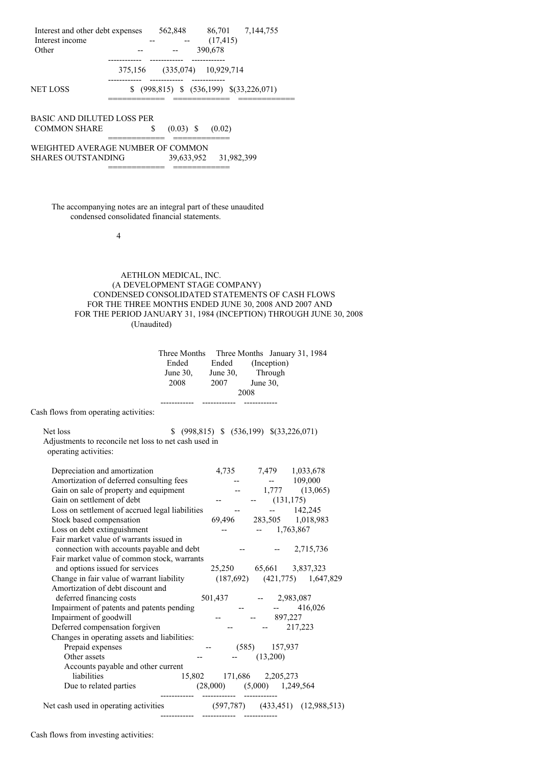| Interest and other debt expenses 562,848 86,701 7,144,755<br>Interest income<br>Other                                                                                                                                                                                                                                                                                                                                                                                                                                                                                                                                                                                                                                                                                                         | ------------  -----------  -----------                                                                                                                   | $-390,678$                                                     | (17, 415)             |                                                                                                                                                                                                                                                                                                                                                                        |                                                                                                                                        |
|-----------------------------------------------------------------------------------------------------------------------------------------------------------------------------------------------------------------------------------------------------------------------------------------------------------------------------------------------------------------------------------------------------------------------------------------------------------------------------------------------------------------------------------------------------------------------------------------------------------------------------------------------------------------------------------------------------------------------------------------------------------------------------------------------|----------------------------------------------------------------------------------------------------------------------------------------------------------|----------------------------------------------------------------|-----------------------|------------------------------------------------------------------------------------------------------------------------------------------------------------------------------------------------------------------------------------------------------------------------------------------------------------------------------------------------------------------------|----------------------------------------------------------------------------------------------------------------------------------------|
|                                                                                                                                                                                                                                                                                                                                                                                                                                                                                                                                                                                                                                                                                                                                                                                               |                                                                                                                                                          | 375,156 (335,074) 10,929,714                                   |                       |                                                                                                                                                                                                                                                                                                                                                                        |                                                                                                                                        |
| NET LOSS                                                                                                                                                                                                                                                                                                                                                                                                                                                                                                                                                                                                                                                                                                                                                                                      |                                                                                                                                                          | --------- ----<br>$$$ (998,815) $$$ (536,199) $$$ (33,226,071) |                       |                                                                                                                                                                                                                                                                                                                                                                        |                                                                                                                                        |
| BASIC AND DILUTED LOSS PER<br><b>COMMON SHARE</b>                                                                                                                                                                                                                                                                                                                                                                                                                                                                                                                                                                                                                                                                                                                                             | \$                                                                                                                                                       | $(0.03)$ \$                                                    | (0.02)                |                                                                                                                                                                                                                                                                                                                                                                        |                                                                                                                                        |
| WEIGHTED AVERAGE NUMBER OF COMMON<br>SHARES OUTSTANDING                                                                                                                                                                                                                                                                                                                                                                                                                                                                                                                                                                                                                                                                                                                                       | ============================                                                                                                                             | _____________                                                  | 39,633,952 31,982,399 |                                                                                                                                                                                                                                                                                                                                                                        |                                                                                                                                        |
| The accompanying notes are an integral part of these unaudited                                                                                                                                                                                                                                                                                                                                                                                                                                                                                                                                                                                                                                                                                                                                | condensed consolidated financial statements.<br>4                                                                                                        |                                                                |                       |                                                                                                                                                                                                                                                                                                                                                                        |                                                                                                                                        |
|                                                                                                                                                                                                                                                                                                                                                                                                                                                                                                                                                                                                                                                                                                                                                                                               | (A DEVELOPMENT STAGE COMPANY)<br>CONDENSED CONSOLIDATED STATEMENTS OF CASH FLOWS<br>FOR THE THREE MONTHS ENDED JUNE 30, 2008 AND 2007 AND<br>(Unaudited) | AETHLON MEDICAL, INC.                                          |                       |                                                                                                                                                                                                                                                                                                                                                                        | FOR THE PERIOD JANUARY 31, 1984 (INCEPTION) THROUGH JUNE 30, 2008                                                                      |
|                                                                                                                                                                                                                                                                                                                                                                                                                                                                                                                                                                                                                                                                                                                                                                                               |                                                                                                                                                          | Ended Ended<br>June 30, June 30,<br>2008 2007                  |                       | Three Months Three Months January 31, 1984<br>(Inception)<br>Through<br>June 30,<br>2008                                                                                                                                                                                                                                                                               |                                                                                                                                        |
| Cash flows from operating activities:                                                                                                                                                                                                                                                                                                                                                                                                                                                                                                                                                                                                                                                                                                                                                         |                                                                                                                                                          |                                                                |                       |                                                                                                                                                                                                                                                                                                                                                                        |                                                                                                                                        |
| Net loss<br>Adjustments to reconcile net loss to net cash used in<br>operating activities:                                                                                                                                                                                                                                                                                                                                                                                                                                                                                                                                                                                                                                                                                                    |                                                                                                                                                          |                                                                |                       | $$$ (998,815) \, (536,199) \, \, \, (33,226,071)                                                                                                                                                                                                                                                                                                                       |                                                                                                                                        |
| Depreciation and amortization<br>Amortization of deferred consulting fees<br>Gain on sale of property and equipment<br>Gain on settlement of debt<br>Loss on settlement of accrued legal liabilities<br>Stock based compensation<br>Loss on debt extinguishment<br>Fair market value of warrants issued in<br>connection with accounts payable and debt<br>Fair market value of common stock, warrants<br>and options issued for services<br>Change in fair value of warrant liability<br>Amortization of debt discount and<br>deferred financing costs<br>Impairment of patents and patents pending<br>Impairment of goodwill<br>Deferred compensation forgiven<br>Changes in operating assets and liabilities:<br>Prepaid expenses<br>Other assets<br>liabilities<br>Due to related parties | Accounts payable and other current                                                                                                                       |                                                                |                       | 4,735 7,479 1,033,678<br>-- - 109,000<br>$-$ (131,175)<br>69,496 283,505 1,018,983<br>$\sim 10^{-10}$<br>$\overline{\phantom{a}}$<br>25,250 65,661 3,837,323<br>501,437 -- 2,983,087<br>$\frac{1}{2}$<br>897,227<br>$\hspace{0.05cm} -\hspace{0.05cm} -\hspace{0.05cm}$<br>$(585)$ 157,937<br>(13,200)<br>15,802 171,686 2,205,273<br>$(28,000)$ $(5,000)$ $1,249,564$ | $- 109,000$<br>$1,777$ $(13,065)$<br>$-142,245$<br>1,763,867<br>2,715,736<br>$(187,692)$ $(421,775)$ $1,647,829$<br>416,026<br>217,223 |
| Net cash used in operating activities (597,787) (433,451) (12,988,513)                                                                                                                                                                                                                                                                                                                                                                                                                                                                                                                                                                                                                                                                                                                        |                                                                                                                                                          | .                                                              |                       |                                                                                                                                                                                                                                                                                                                                                                        |                                                                                                                                        |

------------ ------------ ------------

Cash flows from investing activities: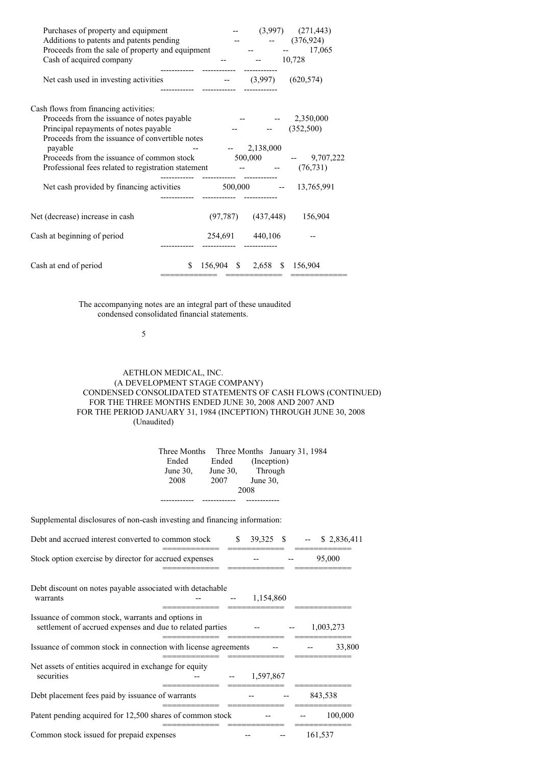| Purchases of property and equipment<br>Additions to patents and patents pending<br>Proceeds from the sale of property and equipment<br>Cash of acquired company                                                                                                                                                                                                     |    |                     |                          |           | $(3,997)$ $(271,443)$<br>$- (376, 924)$<br>17,065<br>10,728 |
|---------------------------------------------------------------------------------------------------------------------------------------------------------------------------------------------------------------------------------------------------------------------------------------------------------------------------------------------------------------------|----|---------------------|--------------------------|-----------|-------------------------------------------------------------|
| Net cash used in investing activities                                                                                                                                                                                                                                                                                                                               |    |                     |                          |           | $(3,997)$ $(620,574)$                                       |
| Cash flows from financing activities:<br>Proceeds from the issuance of notes payable<br>Principal repayments of notes payable<br>Proceeds from the issuance of convertible notes<br>payable<br>Proceeds from the issuance of common stock<br>Professional fees related to registration statement<br>Net cash provided by financing activities 500,000 -- 13,765,991 |    |                     |                          | 2,138,000 | 2,350,000<br>(352,500)<br>500,000 -- 9,707,222<br>(76, 731) |
| Net (decrease) increase in cash                                                                                                                                                                                                                                                                                                                                     |    |                     | $(97, 787)$ $(437, 448)$ |           | 156,904                                                     |
| Cash at beginning of period                                                                                                                                                                                                                                                                                                                                         |    |                     | 254,691 440,106          |           |                                                             |
| Cash at end of period                                                                                                                                                                                                                                                                                                                                               | S. | 156,904 \$ 2,658 \$ |                          |           | 156,904                                                     |

The accompanying notes are an integral part of these unaudited condensed consolidated financial statements.

5

## AETHLON MEDICAL, INC. (A DEVELOPMENT STAGE COMPANY) CONDENSED CONSOLIDATED STATEMENTS OF CASH FLOWS (CONTINUED) FOR THE THREE MONTHS ENDED JUNE 30, 2008 AND 2007 AND FOR THE PERIOD JANUARY 31, 1984 (INCEPTION) THROUGH JUNE 30, 2008 (Unaudited)

|             |             |          | Three Months Three Months January 31, 1984 |  |  |
|-------------|-------------|----------|--------------------------------------------|--|--|
| Ended       | Ended       |          | (Inception)                                |  |  |
| June $30$ , | June $30$ , |          | Through                                    |  |  |
| 2008        | 2007        | June 30, |                                            |  |  |
| 2008        |             |          |                                            |  |  |
|             |             |          |                                            |  |  |

Supplemental disclosures of non-cash investing and financing information:

| Debt and accrued interest converted to common stock                                                            | \$<br>39,325 \$ |           | \$2,836,411 |
|----------------------------------------------------------------------------------------------------------------|-----------------|-----------|-------------|
| Stock option exercise by director for accrued expenses                                                         |                 | 95,000    |             |
| Debt discount on notes payable associated with detachable<br>warrants                                          | 1,154,860       |           |             |
| Issuance of common stock, warrants and options in<br>settlement of accrued expenses and due to related parties |                 | 1,003,273 |             |
| Issuance of common stock in connection with license agreements                                                 |                 |           | 33,800      |
| Net assets of entities acquired in exchange for equity<br>securities                                           | 1,597,867       |           |             |
| Debt placement fees paid by issuance of warrants                                                               |                 | 843,538   |             |
| Patent pending acquired for 12,500 shares of common stock                                                      |                 |           | 100,000     |
| Common stock issued for prepaid expenses                                                                       |                 | 161,537   |             |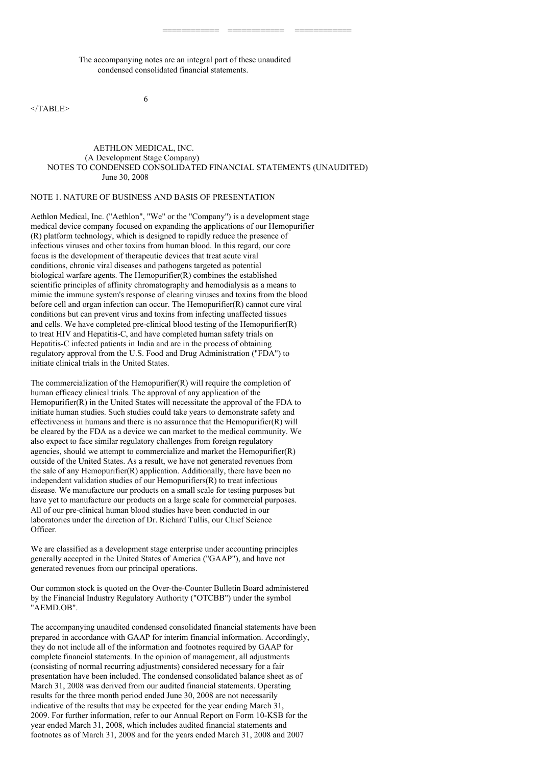The accompanying notes are an integral part of these unaudited condensed consolidated financial statements.

 $\angle$ TABLE>

## AETHLON MEDICAL, INC. (A Development Stage Company) NOTES TO CONDENSED CONSOLIDATED FINANCIAL STATEMENTS (UNAUDITED) June 30, 2008

============ ============ ============

# NOTE 1. NATURE OF BUSINESS AND BASIS OF PRESENTATION

6

Aethlon Medical, Inc. ("Aethlon", "We" or the "Company") is a development stage medical device company focused on expanding the applications of our Hemopurifier (R) platform technology, which is designed to rapidly reduce the presence of infectious viruses and other toxins from human blood. In this regard, our core focus is the development of therapeutic devices that treat acute viral conditions, chronic viral diseases and pathogens targeted as potential biological warfare agents. The Hemopurifier(R) combines the established scientific principles of affinity chromatography and hemodialysis as a means to mimic the immune system's response of clearing viruses and toxins from the blood before cell and organ infection can occur. The Hemopurifier(R) cannot cure viral conditions but can prevent virus and toxins from infecting unaffected tissues and cells. We have completed pre-clinical blood testing of the Hemopurifier(R) to treat HIV and Hepatitis-C, and have completed human safety trials on Hepatitis-C infected patients in India and are in the process of obtaining regulatory approval from the U.S. Food and Drug Administration ("FDA") to initiate clinical trials in the United States.

The commercialization of the Hemopurifier(R) will require the completion of human efficacy clinical trials. The approval of any application of the Hemopurifier(R) in the United States will necessitate the approval of the FDA to initiate human studies. Such studies could take years to demonstrate safety and effectiveness in humans and there is no assurance that the Hemopurifier(R) will be cleared by the FDA as a device we can market to the medical community. We also expect to face similar regulatory challenges from foreign regulatory agencies, should we attempt to commercialize and market the Hemopurifier(R) outside of the United States. As a result, we have not generated revenues from the sale of any Hemopurifier(R) application. Additionally, there have been no independent validation studies of our Hemopurifiers(R) to treat infectious disease. We manufacture our products on a small scale for testing purposes but have yet to manufacture our products on a large scale for commercial purposes. All of our pre-clinical human blood studies have been conducted in our laboratories under the direction of Dr. Richard Tullis, our Chief Science Officer.

We are classified as a development stage enterprise under accounting principles generally accepted in the United States of America ("GAAP"), and have not generated revenues from our principal operations.

Our common stock is quoted on the Over-the-Counter Bulletin Board administered by the Financial Industry Regulatory Authority ("OTCBB") under the symbol "AEMD.OB".

The accompanying unaudited condensed consolidated financial statements have been prepared in accordance with GAAP for interim financial information. Accordingly, they do not include all of the information and footnotes required by GAAP for complete financial statements. In the opinion of management, all adjustments (consisting of normal recurring adjustments) considered necessary for a fair presentation have been included. The condensed consolidated balance sheet as of March 31, 2008 was derived from our audited financial statements. Operating results for the three month period ended June 30, 2008 are not necessarily indicative of the results that may be expected for the year ending March 31, 2009. For further information, refer to our Annual Report on Form 10-KSB for the year ended March 31, 2008, which includes audited financial statements and footnotes as of March 31, 2008 and for the years ended March 31, 2008 and 2007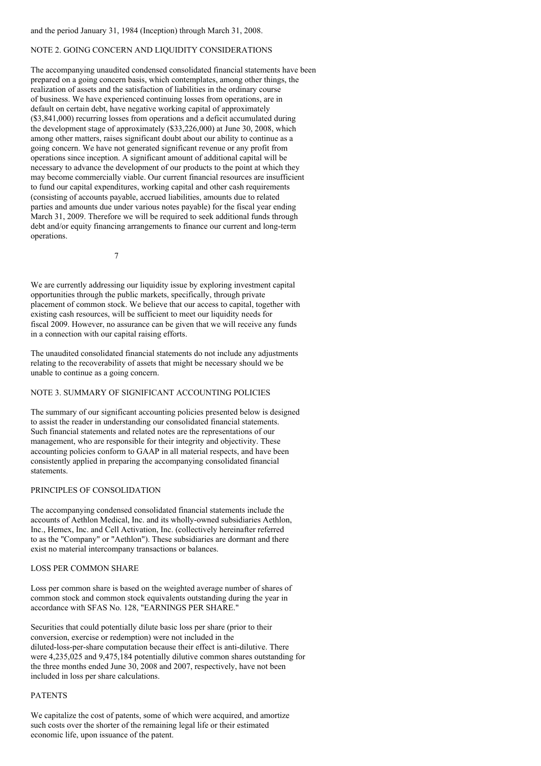and the period January 31, 1984 (Inception) through March 31, 2008.

### NOTE 2. GOING CONCERN AND LIQUIDITY CONSIDERATIONS

The accompanying unaudited condensed consolidated financial statements have been prepared on a going concern basis, which contemplates, among other things, the realization of assets and the satisfaction of liabilities in the ordinary course of business. We have experienced continuing losses from operations, are in default on certain debt, have negative working capital of approximately (\$3,841,000) recurring losses from operations and a deficit accumulated during the development stage of approximately (\$33,226,000) at June 30, 2008, which among other matters, raises significant doubt about our ability to continue as a going concern. We have not generated significant revenue or any profit from operations since inception. A significant amount of additional capital will be necessary to advance the development of our products to the point at which they may become commercially viable. Our current financial resources are insufficient to fund our capital expenditures, working capital and other cash requirements (consisting of accounts payable, accrued liabilities, amounts due to related parties and amounts due under various notes payable) for the fiscal year ending March 31, 2009. Therefore we will be required to seek additional funds through debt and/or equity financing arrangements to finance our current and long-term operations.

7

We are currently addressing our liquidity issue by exploring investment capital opportunities through the public markets, specifically, through private placement of common stock. We believe that our access to capital, together with existing cash resources, will be sufficient to meet our liquidity needs for fiscal 2009. However, no assurance can be given that we will receive any funds in a connection with our capital raising efforts.

The unaudited consolidated financial statements do not include any adjustments relating to the recoverability of assets that might be necessary should we be unable to continue as a going concern.

### NOTE 3. SUMMARY OF SIGNIFICANT ACCOUNTING POLICIES

The summary of our significant accounting policies presented below is designed to assist the reader in understanding our consolidated financial statements. Such financial statements and related notes are the representations of our management, who are responsible for their integrity and objectivity. These accounting policies conform to GAAP in all material respects, and have been consistently applied in preparing the accompanying consolidated financial statements.

### PRINCIPLES OF CONSOLIDATION

The accompanying condensed consolidated financial statements include the accounts of Aethlon Medical, Inc. and its wholly-owned subsidiaries Aethlon, Inc., Hemex, Inc. and Cell Activation, Inc. (collectively hereinafter referred to as the "Company" or "Aethlon"). These subsidiaries are dormant and there exist no material intercompany transactions or balances.

### LOSS PER COMMON SHARE

Loss per common share is based on the weighted average number of shares of common stock and common stock equivalents outstanding during the year in accordance with SFAS No. 128, "EARNINGS PER SHARE."

Securities that could potentially dilute basic loss per share (prior to their conversion, exercise or redemption) were not included in the diluted-loss-per-share computation because their effect is anti-dilutive. There were 4,235,025 and 9,475,184 potentially dilutive common shares outstanding for the three months ended June 30, 2008 and 2007, respectively, have not been included in loss per share calculations.

### PATENTS

We capitalize the cost of patents, some of which were acquired, and amortize such costs over the shorter of the remaining legal life or their estimated economic life, upon issuance of the patent.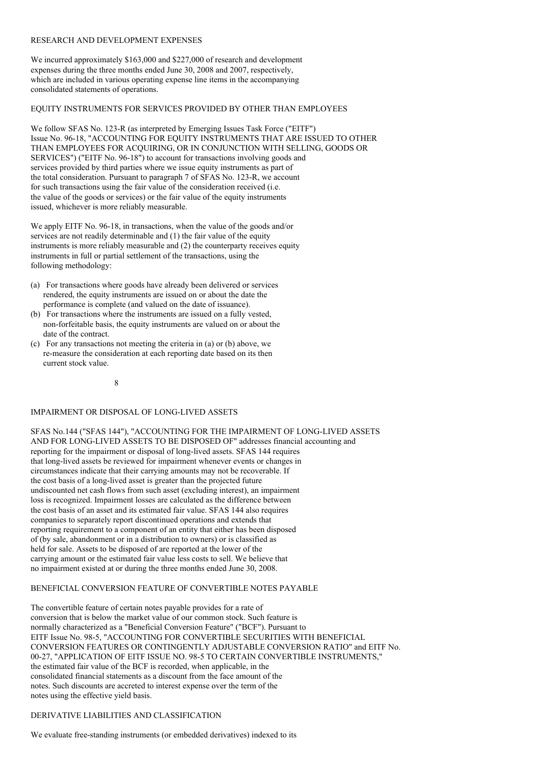### RESEARCH AND DEVELOPMENT EXPENSES

We incurred approximately \$163,000 and \$227,000 of research and development expenses during the three months ended June 30, 2008 and 2007, respectively, which are included in various operating expense line items in the accompanying consolidated statements of operations.

## EQUITY INSTRUMENTS FOR SERVICES PROVIDED BY OTHER THAN EMPLOYEES

We follow SFAS No. 123-R (as interpreted by Emerging Issues Task Force ("EITF") Issue No. 96-18, "ACCOUNTING FOR EQUITY INSTRUMENTS THAT ARE ISSUED TO OTHER THAN EMPLOYEES FOR ACQUIRING, OR IN CONJUNCTION WITH SELLING, GOODS OR SERVICES") ("EITF No. 96-18") to account for transactions involving goods and services provided by third parties where we issue equity instruments as part of the total consideration. Pursuant to paragraph 7 of SFAS No. 123-R, we account for such transactions using the fair value of the consideration received (i.e. the value of the goods or services) or the fair value of the equity instruments issued, whichever is more reliably measurable.

We apply EITF No. 96-18, in transactions, when the value of the goods and/or services are not readily determinable and (1) the fair value of the equity instruments is more reliably measurable and (2) the counterparty receives equity instruments in full or partial settlement of the transactions, using the following methodology:

- (a) For transactions where goods have already been delivered or services rendered, the equity instruments are issued on or about the date the performance is complete (and valued on the date of issuance).
- (b) For transactions where the instruments are issued on a fully vested, non-forfeitable basis, the equity instruments are valued on or about the date of the contract.
- (c) For any transactions not meeting the criteria in (a) or (b) above, we re-measure the consideration at each reporting date based on its then current stock value.
	- $\mathbf{Q}$

## IMPAIRMENT OR DISPOSAL OF LONG-LIVED ASSETS

SFAS No.144 ("SFAS 144"), "ACCOUNTING FOR THE IMPAIRMENT OF LONG-LIVED ASSETS AND FOR LONG-LIVED ASSETS TO BE DISPOSED OF" addresses financial accounting and reporting for the impairment or disposal of long-lived assets. SFAS 144 requires that long-lived assets be reviewed for impairment whenever events or changes in circumstances indicate that their carrying amounts may not be recoverable. If the cost basis of a long-lived asset is greater than the projected future undiscounted net cash flows from such asset (excluding interest), an impairment loss is recognized. Impairment losses are calculated as the difference between the cost basis of an asset and its estimated fair value. SFAS 144 also requires companies to separately report discontinued operations and extends that reporting requirement to a component of an entity that either has been disposed of (by sale, abandonment or in a distribution to owners) or is classified as held for sale. Assets to be disposed of are reported at the lower of the carrying amount or the estimated fair value less costs to sell. We believe that no impairment existed at or during the three months ended June 30, 2008.

## BENEFICIAL CONVERSION FEATURE OF CONVERTIBLE NOTES PAYABLE

The convertible feature of certain notes payable provides for a rate of conversion that is below the market value of our common stock. Such feature is normally characterized as a "Beneficial Conversion Feature" ("BCF"). Pursuant to EITF Issue No. 98-5, "ACCOUNTING FOR CONVERTIBLE SECURITIES WITH BENEFICIAL CONVERSION FEATURES OR CONTINGENTLY ADJUSTABLE CONVERSION RATIO" and EITF No. 00-27, "APPLICATION OF EITF ISSUE NO. 98-5 TO CERTAIN CONVERTIBLE INSTRUMENTS," the estimated fair value of the BCF is recorded, when applicable, in the consolidated financial statements as a discount from the face amount of the notes. Such discounts are accreted to interest expense over the term of the notes using the effective yield basis.

## DERIVATIVE LIABILITIES AND CLASSIFICATION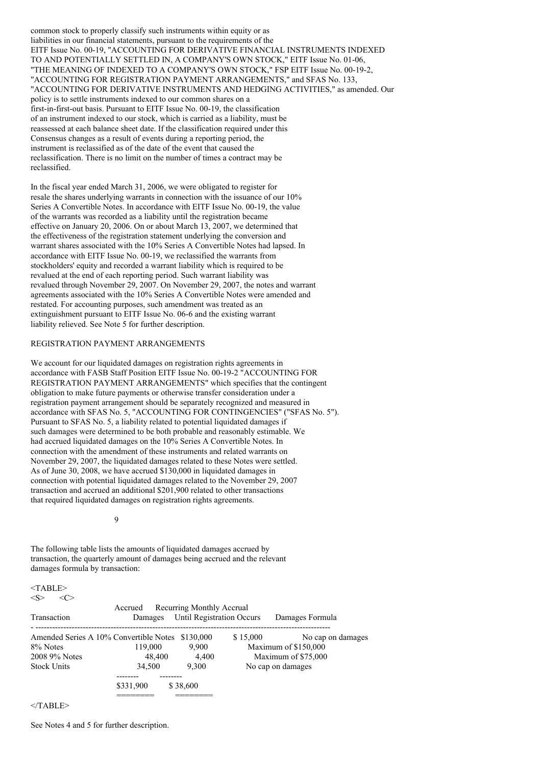common stock to properly classify such instruments within equity or as liabilities in our financial statements, pursuant to the requirements of the EITF Issue No. 00-19, "ACCOUNTING FOR DERIVATIVE FINANCIAL INSTRUMENTS INDEXED TO AND POTENTIALLY SETTLED IN, A COMPANY'S OWN STOCK," EITF Issue No. 01-06, "THE MEANING OF INDEXED TO A COMPANY'S OWN STOCK," FSP EITF Issue No. 00-19-2, "ACCOUNTING FOR REGISTRATION PAYMENT ARRANGEMENTS," and SFAS No. 133, "ACCOUNTING FOR DERIVATIVE INSTRUMENTS AND HEDGING ACTIVITIES," as amended. Our policy is to settle instruments indexed to our common shares on a first-in-first-out basis. Pursuant to EITF Issue No. 00-19, the classification of an instrument indexed to our stock, which is carried as a liability, must be reassessed at each balance sheet date. If the classification required under this Consensus changes as a result of events during a reporting period, the instrument is reclassified as of the date of the event that caused the reclassification. There is no limit on the number of times a contract may be reclassified.

In the fiscal year ended March 31, 2006, we were obligated to register for resale the shares underlying warrants in connection with the issuance of our 10% Series A Convertible Notes. In accordance with EITF Issue No. 00-19, the value of the warrants was recorded as a liability until the registration became effective on January 20, 2006. On or about March 13, 2007, we determined that the effectiveness of the registration statement underlying the conversion and warrant shares associated with the 10% Series A Convertible Notes had lapsed. In accordance with EITF Issue No. 00-19, we reclassified the warrants from stockholders' equity and recorded a warrant liability which is required to be revalued at the end of each reporting period. Such warrant liability was revalued through November 29, 2007. On November 29, 2007, the notes and warrant agreements associated with the 10% Series A Convertible Notes were amended and restated. For accounting purposes, such amendment was treated as an extinguishment pursuant to EITF Issue No. 06-6 and the existing warrant liability relieved. See Note 5 for further description.

### REGISTRATION PAYMENT ARRANGEMENTS

We account for our liquidated damages on registration rights agreements in accordance with FASB Staff Position EITF Issue No. 00-19-2 "ACCOUNTING FOR REGISTRATION PAYMENT ARRANGEMENTS" which specifies that the contingent obligation to make future payments or otherwise transfer consideration under a registration payment arrangement should be separately recognized and measured in accordance with SFAS No. 5, "ACCOUNTING FOR CONTINGENCIES" ("SFAS No. 5"). Pursuant to SFAS No. 5, a liability related to potential liquidated damages if such damages were determined to be both probable and reasonably estimable. We had accrued liquidated damages on the 10% Series A Convertible Notes. In connection with the amendment of these instruments and related warrants on November 29, 2007, the liquidated damages related to these Notes were settled. As of June 30, 2008, we have accrued \$130,000 in liquidated damages in connection with potential liquidated damages related to the November 29, 2007 transaction and accrued an additional \$201,900 related to other transactions that required liquidated damages on registration rights agreements.

 $\overline{Q}$ 

The following table lists the amounts of liquidated damages accrued by transaction, the quarterly amount of damages being accrued and the relevant damages formula by transaction:

 $<$ TABLE>  $\langle S \rangle$   $\langle C \rangle$ 

| Transaction                            | Accrued<br>Damages | Recurring Monthly Accrual<br><b>Until Registration Occurs</b> |          | Damages Formula      |
|----------------------------------------|--------------------|---------------------------------------------------------------|----------|----------------------|
| Amended Series A 10% Convertible Notes |                    | \$130,000                                                     | \$15,000 | No cap on damages    |
| 8% Notes                               | 119,000            | 9.900                                                         |          | Maximum of \$150,000 |
| 2008 9% Notes                          | 48,400             | 4.400                                                         |          | Maximum of \$75,000  |
| <b>Stock Units</b>                     | 34.500             | 9.300                                                         |          | No cap on damages    |
|                                        | \$331,900          | \$38,600                                                      |          |                      |
|                                        |                    |                                                               |          |                      |

## $<$ /TABLE>

See Notes 4 and 5 for further description.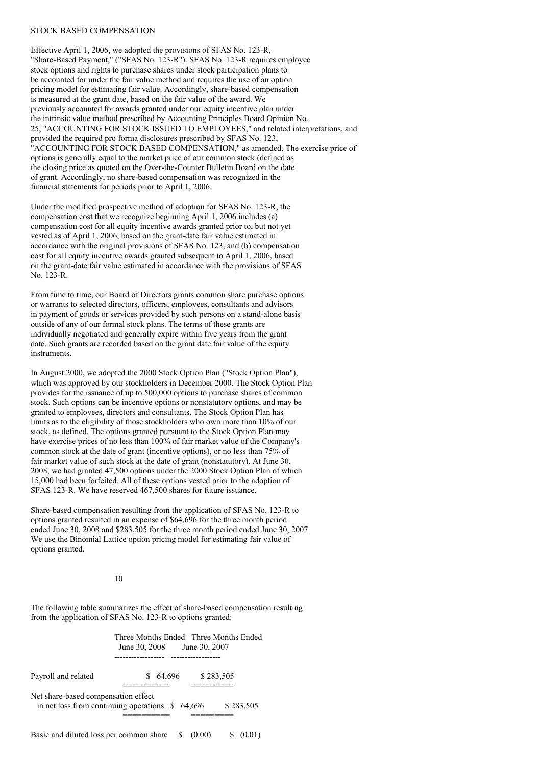### STOCK BASED COMPENSATION

Effective April 1, 2006, we adopted the provisions of SFAS No. 123-R, "Share-Based Payment," ("SFAS No. 123-R"). SFAS No. 123-R requires employee stock options and rights to purchase shares under stock participation plans to be accounted for under the fair value method and requires the use of an option pricing model for estimating fair value. Accordingly, share-based compensation is measured at the grant date, based on the fair value of the award. We previously accounted for awards granted under our equity incentive plan under the intrinsic value method prescribed by Accounting Principles Board Opinion No. 25, "ACCOUNTING FOR STOCK ISSUED TO EMPLOYEES," and related interpretations, and provided the required pro forma disclosures prescribed by SFAS No. 123, "ACCOUNTING FOR STOCK BASED COMPENSATION," as amended. The exercise price of options is generally equal to the market price of our common stock (defined as the closing price as quoted on the Over-the-Counter Bulletin Board on the date of grant. Accordingly, no share-based compensation was recognized in the financial statements for periods prior to April 1, 2006.

Under the modified prospective method of adoption for SFAS No. 123-R, the compensation cost that we recognize beginning April 1, 2006 includes (a) compensation cost for all equity incentive awards granted prior to, but not yet vested as of April 1, 2006, based on the grant-date fair value estimated in accordance with the original provisions of SFAS No. 123, and (b) compensation cost for all equity incentive awards granted subsequent to April 1, 2006, based on the grant-date fair value estimated in accordance with the provisions of SFAS No. 123-R.

From time to time, our Board of Directors grants common share purchase options or warrants to selected directors, officers, employees, consultants and advisors in payment of goods or services provided by such persons on a stand-alone basis outside of any of our formal stock plans. The terms of these grants are individually negotiated and generally expire within five years from the grant date. Such grants are recorded based on the grant date fair value of the equity instruments.

In August 2000, we adopted the 2000 Stock Option Plan ("Stock Option Plan"), which was approved by our stockholders in December 2000. The Stock Option Plan provides for the issuance of up to 500,000 options to purchase shares of common stock. Such options can be incentive options or nonstatutory options, and may be granted to employees, directors and consultants. The Stock Option Plan has limits as to the eligibility of those stockholders who own more than 10% of our stock, as defined. The options granted pursuant to the Stock Option Plan may have exercise prices of no less than 100% of fair market value of the Company's common stock at the date of grant (incentive options), or no less than 75% of fair market value of such stock at the date of grant (nonstatutory). At June 30, 2008, we had granted 47,500 options under the 2000 Stock Option Plan of which 15,000 had been forfeited. All of these options vested prior to the adoption of SFAS 123-R. We have reserved 467,500 shares for future issuance.

Share-based compensation resulting from the application of SFAS No. 123-R to options granted resulted in an expense of \$64,696 for the three month period ended June 30, 2008 and \$283,505 for the three month period ended June 30, 2007. We use the Binomial Lattice option pricing model for estimating fair value of options granted.

#### 10

The following table summarizes the effect of share-based compensation resulting from the application of SFAS No. 123-R to options granted:

|                                                                                                      | June 30, 2008 | Three Months Ended Three Months Ended<br>June 30, 2007 |  |  |  |
|------------------------------------------------------------------------------------------------------|---------------|--------------------------------------------------------|--|--|--|
| Payroll and related                                                                                  | 64,696        | \$283,505                                              |  |  |  |
| Net share-based compensation effect<br>in net loss from continuing operations $$64,696$<br>\$283,505 |               |                                                        |  |  |  |
| Basic and diluted loss per common share                                                              | S             | (0.00)<br>(0.01)                                       |  |  |  |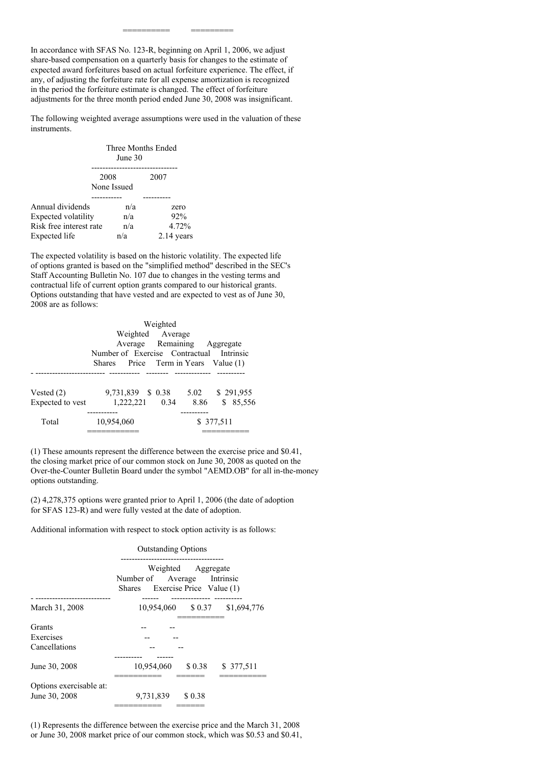In accordance with SFAS No. 123-R, beginning on April 1, 2006, we adjust share-based compensation on a quarterly basis for changes to the estimate of expected award forfeitures based on actual forfeiture experience. The effect, if any, of adjusting the forfeiture rate for all expense amortization is recognized in the period the forfeiture estimate is changed. The effect of forfeiture adjustments for the three month period ended June 30, 2008 was insignificant.

========== =========

The following weighted average assumptions were used in the valuation of these instruments.

|                                                                                     | Three Months Ended<br>June 30 |                                    |  |  |  |
|-------------------------------------------------------------------------------------|-------------------------------|------------------------------------|--|--|--|
|                                                                                     | 2008<br>None Issued           | 2007                               |  |  |  |
| Annual dividends<br>Expected volatility<br>Risk free interest rate<br>Expected life | n/a<br>n/a<br>n/a<br>n/a      | zero<br>92%<br>4.72%<br>2.14 years |  |  |  |

The expected volatility is based on the historic volatility. The expected life of options granted is based on the "simplified method" described in the SEC's Staff Accounting Bulletin No. 107 due to changes in the vesting terms and contractual life of current option grants compared to our historical grants. Options outstanding that have vested and are expected to vest as of June 30, 2008 are as follows:

|                  | Weighted                                 |  |            |           |
|------------------|------------------------------------------|--|------------|-----------|
|                  | Weighted Average                         |  |            |           |
|                  | Average Remaining Aggregate              |  |            |           |
|                  | Number of Exercise Contractual Intrinsic |  |            |           |
|                  | Shares Price Term in Years Value (1)     |  |            |           |
|                  |                                          |  |            |           |
| Vested $(2)$     | 9,731,839 \$ 0.38                        |  | 5.02       | \$291,955 |
| Expected to vest | 1.222.221 0.34                           |  | 8.86       | \$85,556  |
|                  | ---------                                |  | .          |           |
| Total            | 10,954,060                               |  | \$ 377,511 |           |
|                  |                                          |  |            |           |

(1) These amounts represent the difference between the exercise price and \$0.41, the closing market price of our common stock on June 30, 2008 as quoted on the Over-the-Counter Bulletin Board under the symbol "AEMD.OB" for all in-the-money options outstanding.

(2) 4,278,375 options were granted prior to April 1, 2006 (the date of adoption for SFAS 123-R) and were fully vested at the date of adoption.

Additional information with respect to stock option activity is as follows:

|                                          | <b>Outstanding Options</b>                                                           |  |  |
|------------------------------------------|--------------------------------------------------------------------------------------|--|--|
|                                          | Weighted Aggregate<br>Number of Average Intrinsic<br>Shares Exercise Price Value (1) |  |  |
| March 31, 2008                           | 10,954,060 \$ 0.37 \$1,694,776                                                       |  |  |
| Grants<br>Exercises<br>Cancellations     |                                                                                      |  |  |
| June 30, 2008                            | 10,954,060<br>\$ 0.38<br>\$ 377,511                                                  |  |  |
| Options exercisable at:<br>June 30, 2008 | 9,731,839<br>\$0.38                                                                  |  |  |

(1) Represents the difference between the exercise price and the March 31, 2008 or June 30, 2008 market price of our common stock, which was \$0.53 and \$0.41,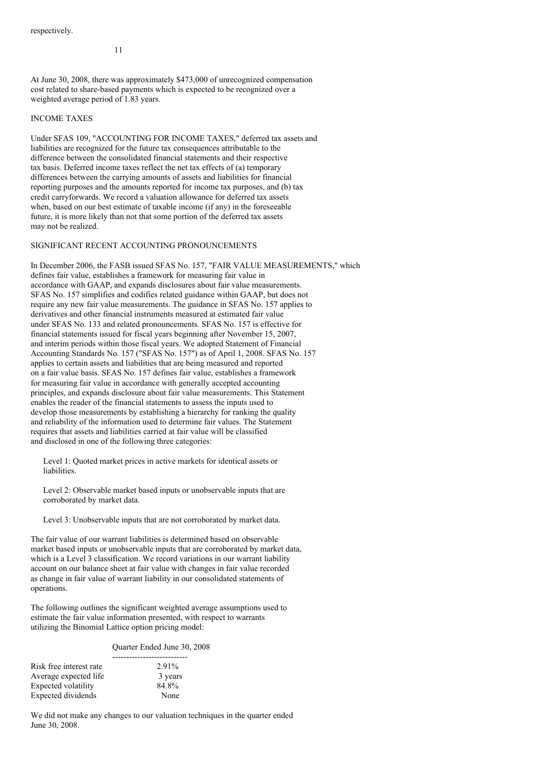11

At June 30, 2008, there was approximately \$473,000 of unrecognized compensation cost related to share-based payments which is expected to be recognized over a weighted average period of 1.83 years.

# INCOME TAXES

Under SFAS 109, "ACCOUNTING FOR INCOME TAXES," deferred tax assets and liabilities are recognized for the future tax consequences attributable to the difference between the consolidated financial statements and their respective tax basis. Deferred income taxes reflect the net tax effects of (a) temporary differences between the carrying amounts of assets and liabilities for financial reporting purposes and the amounts reported for income tax purposes, and (b) tax credit carryforwards. We record a valuation allowance for deferred tax assets when, based on our best estimate of taxable income (if any) in the foreseeable future, it is more likely than not that some portion of the deferred tax assets may not be realized.

## SIGNIFICANT RECENT ACCOUNTING PRONOUNCEMENTS

In December 2006, the FASB issued SFAS No. 157, "FAIR VALUE MEASUREMENTS," which defines fair value, establishes a framework for measuring fair value in accordance with GAAP, and expands disclosures about fair value measurements. SFAS No. 157 simplifies and codifies related guidance within GAAP, but does not require any new fair value measurements. The guidance in SFAS No. 157 applies to derivatives and other financial instruments measured at estimated fair value under SFAS No. 133 and related pronouncements. SFAS No. 157 is effective for financial statements issued for fiscal years beginning after November 15, 2007, and interim periods within those fiscal years. We adopted Statement of Financial Accounting Standards No. 157 ("SFAS No. 157") as of April 1, 2008. SFAS No. 157 applies to certain assets and liabilities that are being measured and reported on a fair value basis. SFAS No. 157 defines fair value, establishes a framework for measuring fair value in accordance with generally accepted accounting principles, and expands disclosure about fair value measurements. This Statement enables the reader of the financial statements to assess the inputs used to develop those measurements by establishing a hierarchy for ranking the quality and reliability of the information used to determine fair values. The Statement requires that assets and liabilities carried at fair value will be classified and disclosed in one of the following three categories:

Level 1: Quoted market prices in active markets for identical assets or liabilities.

Level 2: Observable market based inputs or unobservable inputs that are corroborated by market data.

Level 3: Unobservable inputs that are not corroborated by market data.

The fair value of our warrant liabilities is determined based on observable market based inputs or unobservable inputs that are corroborated by market data, which is a Level 3 classification. We record variations in our warrant liability account on our balance sheet at fair value with changes in fair value recorded as change in fair value of warrant liability in our consolidated statements of operations.

The following outlines the significant weighted average assumptions used to estimate the fair value information presented, with respect to warrants utilizing the Binomial Lattice option pricing model:

#### Quarter Ended June 30, 2008

| Risk free interest rate | $2.91\%$ |
|-------------------------|----------|
| Average expected life   | 3 years  |
| Expected volatility     | 84.8%    |
| Expected dividends      | None     |

We did not make any changes to our valuation techniques in the quarter ended June 30, 2008.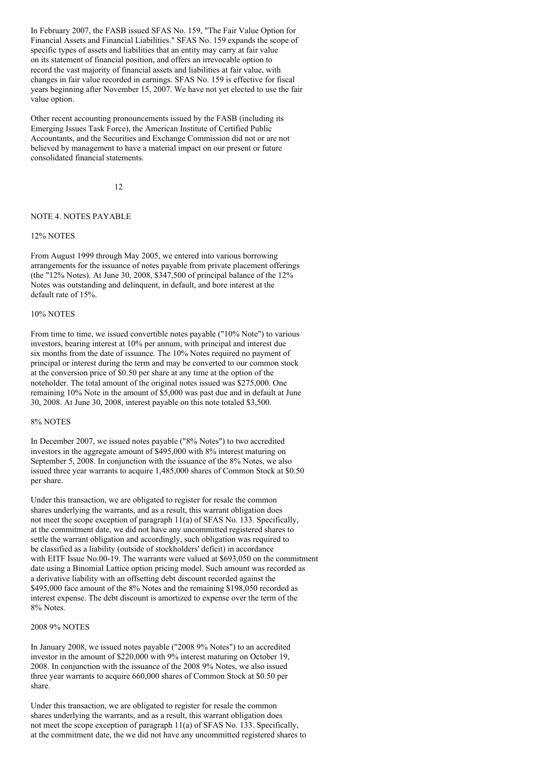In February 2007, the FASB issued SFAS No. 159, "The Fair Value Option for Financial Assets and Financial Liabilities." SFAS No. 159 expands the scope of specific types of assets and liabilities that an entity may carry at fair value on its statement of financial position, and offers an irrevocable option to record the vast majority of financial assets and liabilities at fair value, with changes in fair value recorded in earnings. SFAS No. 159 is effective for fiscal years beginning after November 15, 2007. We have not yet elected to use the fair value option.

Other recent accounting pronouncements issued by the FASB (including its Emerging Issues Task Force), the American Institute of Certified Public Accountants, and the Securities and Exchange Commission did not or are not believed by management to have a material impact on our present or future consolidated financial statements.

12

## NOTE 4. NOTES PAYABLE

## 12% NOTES

From August 1999 through May 2005, we entered into various borrowing arrangements for the issuance of notes payable from private placement offerings (the "12% Notes). At June 30, 2008, \$347,500 of principal balance of the 12% Notes was outstanding and delinquent, in default, and bore interest at the default rate of 15%.

### 10% NOTES

From time to time, we issued convertible notes payable ("10% Note") to various investors, bearing interest at 10% per annum, with principal and interest due six months from the date of issuance. The 10% Notes required no payment of principal or interest during the term and may be converted to our common stock at the conversion price of \$0.50 per share at any time at the option of the noteholder. The total amount of the original notes issued was \$275,000. One remaining 10% Note in the amount of \$5,000 was past due and in default at June 30, 2008. At June 30, 2008, interest payable on this note totaled \$3,500.

### 8% NOTES

In December 2007, we issued notes payable ("8% Notes") to two accredited investors in the aggregate amount of \$495,000 with 8% interest maturing on September 5, 2008. In conjunction with the issuance of the 8% Notes, we also issued three year warrants to acquire 1,485,000 shares of Common Stock at \$0.50 per share.

Under this transaction, we are obligated to register for resale the common shares underlying the warrants, and as a result, this warrant obligation does not meet the scope exception of paragraph 11(a) of SFAS No. 133. Specifically, at the commitment date, we did not have any uncommitted registered shares to settle the warrant obligation and accordingly, such obligation was required to be classified as a liability (outside of stockholders' deficit) in accordance with EITF Issue No.00-19. The warrants were valued at \$693,050 on the commitment date using a Binomial Lattice option pricing model. Such amount was recorded as a derivative liability with an offsetting debt discount recorded against the \$495,000 face amount of the 8% Notes and the remaining \$198,050 recorded as interest expense. The debt discount is amortized to expense over the term of the 8% Notes.

### 2008 9% NOTES

In January 2008, we issued notes payable ("2008 9% Notes") to an accredited investor in the amount of \$220,000 with 9% interest maturing on October 19, 2008. In conjunction with the issuance of the 2008 9% Notes, we also issued three year warrants to acquire 660,000 shares of Common Stock at \$0.50 per share.

Under this transaction, we are obligated to register for resale the common shares underlying the warrants, and as a result, this warrant obligation does not meet the scope exception of paragraph 11(a) of SFAS No. 133. Specifically, at the commitment date, the we did not have any uncommitted registered shares to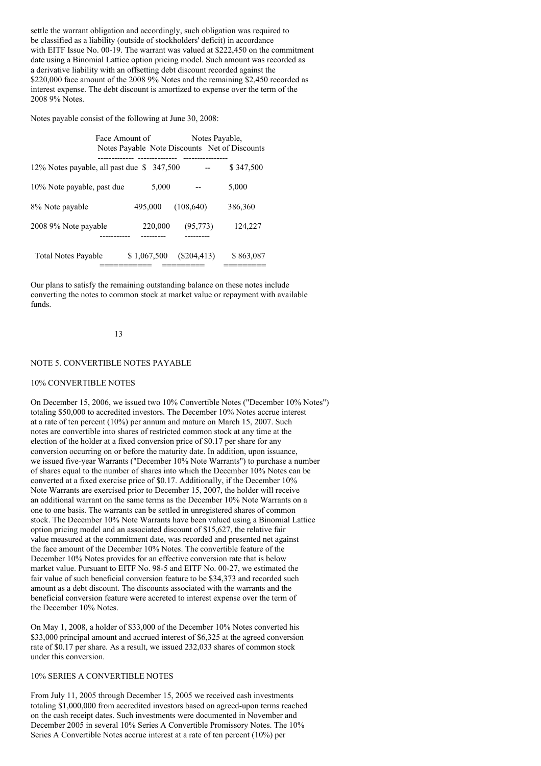settle the warrant obligation and accordingly, such obligation was required to be classified as a liability (outside of stockholders' deficit) in accordance with EITF Issue No. 00-19. The warrant was valued at \$222,450 on the commitment date using a Binomial Lattice option pricing model. Such amount was recorded as a derivative liability with an offsetting debt discount recorded against the \$220,000 face amount of the 2008 9% Notes and the remaining \$2,450 recorded as interest expense. The debt discount is amortized to expense over the term of the 2008 9% Notes.

Notes payable consist of the following at June 30, 2008:

|                                           | Face Amount of |             |               | Notes Payable,                                |  |
|-------------------------------------------|----------------|-------------|---------------|-----------------------------------------------|--|
|                                           |                |             |               | Notes Payable Note Discounts Net of Discounts |  |
| 12% Notes payable, all past due \$347,500 |                |             |               | \$347,500                                     |  |
| 10% Note payable, past due                |                | 5.000       |               | 5,000                                         |  |
| 8% Note payable                           |                | 495,000     | (108, 640)    | 386,360                                       |  |
| 2008 9% Note payable                      |                | 220,000     | (95, 773)     | 124.227                                       |  |
| <b>Total Notes Payable</b>                |                | \$1,067,500 | $(\$204,413)$ | \$863,087                                     |  |

Our plans to satisfy the remaining outstanding balance on these notes include converting the notes to common stock at market value or repayment with available funds.

## 13

### NOTE 5. CONVERTIBLE NOTES PAYABLE

#### 10% CONVERTIBLE NOTES

On December 15, 2006, we issued two 10% Convertible Notes ("December 10% Notes") totaling \$50,000 to accredited investors. The December 10% Notes accrue interest at a rate of ten percent (10%) per annum and mature on March 15, 2007. Such notes are convertible into shares of restricted common stock at any time at the election of the holder at a fixed conversion price of \$0.17 per share for any conversion occurring on or before the maturity date. In addition, upon issuance, we issued five-year Warrants ("December 10% Note Warrants") to purchase a number of shares equal to the number of shares into which the December 10% Notes can be converted at a fixed exercise price of \$0.17. Additionally, if the December 10% Note Warrants are exercised prior to December 15, 2007, the holder will receive an additional warrant on the same terms as the December 10% Note Warrants on a one to one basis. The warrants can be settled in unregistered shares of common stock. The December 10% Note Warrants have been valued using a Binomial Lattice option pricing model and an associated discount of \$15,627, the relative fair value measured at the commitment date, was recorded and presented net against the face amount of the December 10% Notes. The convertible feature of the December 10% Notes provides for an effective conversion rate that is below market value. Pursuant to EITF No. 98-5 and EITF No. 00-27, we estimated the fair value of such beneficial conversion feature to be \$34,373 and recorded such amount as a debt discount. The discounts associated with the warrants and the beneficial conversion feature were accreted to interest expense over the term of the December 10% Notes.

On May 1, 2008, a holder of \$33,000 of the December 10% Notes converted his \$33,000 principal amount and accrued interest of \$6,325 at the agreed conversion rate of \$0.17 per share. As a result, we issued 232,033 shares of common stock under this conversion.

### 10% SERIES A CONVERTIBLE NOTES

From July 11, 2005 through December 15, 2005 we received cash investments totaling \$1,000,000 from accredited investors based on agreed-upon terms reached on the cash receipt dates. Such investments were documented in November and December 2005 in several 10% Series A Convertible Promissory Notes. The 10% Series A Convertible Notes accrue interest at a rate of ten percent (10%) per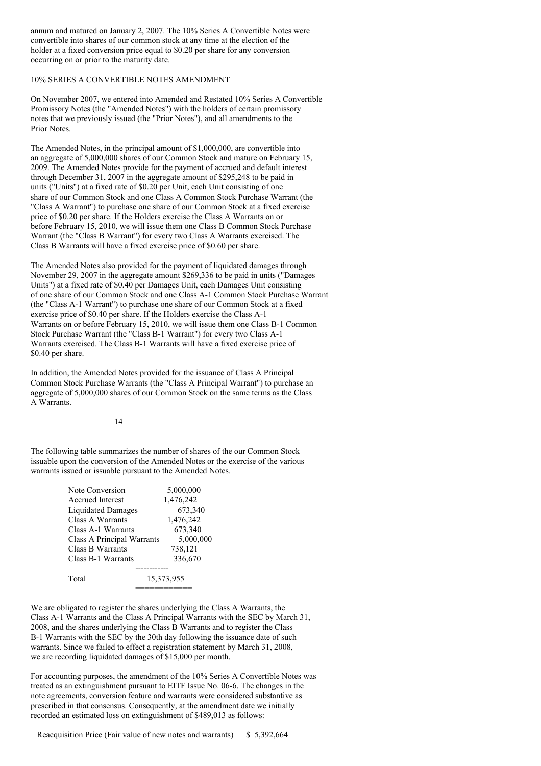annum and matured on January 2, 2007. The 10% Series A Convertible Notes were convertible into shares of our common stock at any time at the election of the holder at a fixed conversion price equal to \$0.20 per share for any conversion occurring on or prior to the maturity date.

## 10% SERIES A CONVERTIBLE NOTES AMENDMENT

On November 2007, we entered into Amended and Restated 10% Series A Convertible Promissory Notes (the "Amended Notes") with the holders of certain promissory notes that we previously issued (the "Prior Notes"), and all amendments to the Prior Notes.

The Amended Notes, in the principal amount of \$1,000,000, are convertible into an aggregate of 5,000,000 shares of our Common Stock and mature on February 15, 2009. The Amended Notes provide for the payment of accrued and default interest through December 31, 2007 in the aggregate amount of \$295,248 to be paid in units ("Units") at a fixed rate of \$0.20 per Unit, each Unit consisting of one share of our Common Stock and one Class A Common Stock Purchase Warrant (the "Class A Warrant") to purchase one share of our Common Stock at a fixed exercise price of \$0.20 per share. If the Holders exercise the Class A Warrants on or before February 15, 2010, we will issue them one Class B Common Stock Purchase Warrant (the "Class B Warrant") for every two Class A Warrants exercised. The Class B Warrants will have a fixed exercise price of \$0.60 per share.

The Amended Notes also provided for the payment of liquidated damages through November 29, 2007 in the aggregate amount \$269,336 to be paid in units ("Damages Units") at a fixed rate of \$0.40 per Damages Unit, each Damages Unit consisting of one share of our Common Stock and one Class A-1 Common Stock Purchase Warrant (the "Class A-1 Warrant") to purchase one share of our Common Stock at a fixed exercise price of \$0.40 per share. If the Holders exercise the Class A-1 Warrants on or before February 15, 2010, we will issue them one Class B-1 Common Stock Purchase Warrant (the "Class B-1 Warrant") for every two Class A-1 Warrants exercised. The Class B-1 Warrants will have a fixed exercise price of \$0.40 per share.

In addition, the Amended Notes provided for the issuance of Class A Principal Common Stock Purchase Warrants (the "Class A Principal Warrant") to purchase an aggregate of 5,000,000 shares of our Common Stock on the same terms as the Class A Warrants.

14

The following table summarizes the number of shares of the our Common Stock issuable upon the conversion of the Amended Notes or the exercise of the various warrants issued or issuable pursuant to the Amended Notes.

| Note Conversion            | 5,000,000  |  |  |
|----------------------------|------------|--|--|
| Accrued Interest           | 1,476,242  |  |  |
| Liquidated Damages         | 673,340    |  |  |
| Class A Warrants           | 1,476,242  |  |  |
| Class A-1 Warrants         | 673,340    |  |  |
| Class A Principal Warrants | 5,000,000  |  |  |
| Class B Warrants           | 738,121    |  |  |
| Class B-1 Warrants         | 336,670    |  |  |
|                            |            |  |  |
| Total                      | 15,373,955 |  |  |
|                            |            |  |  |

We are obligated to register the shares underlying the Class A Warrants, the Class A-1 Warrants and the Class A Principal Warrants with the SEC by March 31, 2008, and the shares underlying the Class B Warrants and to register the Class B-1 Warrants with the SEC by the 30th day following the issuance date of such warrants. Since we failed to effect a registration statement by March 31, 2008, we are recording liquidated damages of \$15,000 per month.

For accounting purposes, the amendment of the 10% Series A Convertible Notes was treated as an extinguishment pursuant to EITF Issue No. 06-6. The changes in the note agreements, conversion feature and warrants were considered substantive as prescribed in that consensus. Consequently, at the amendment date we initially recorded an estimated loss on extinguishment of \$489,013 as follows: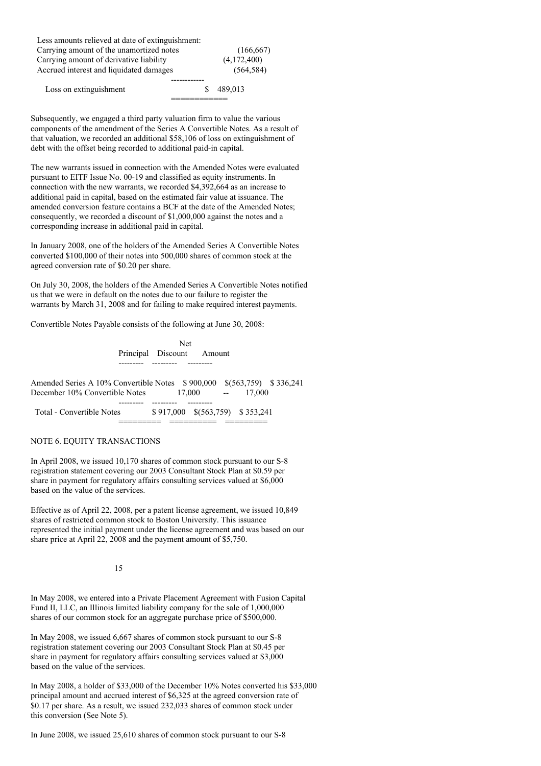| Less amounts relieved at date of extinguishment: |             |
|--------------------------------------------------|-------------|
| Carrying amount of the unamortized notes         | (166, 667)  |
| Carrying amount of derivative liability          | (4,172,400) |
| Accrued interest and liquidated damages          | (564, 584)  |
|                                                  |             |

Loss on extinguishment \$ 489,013 ============

Subsequently, we engaged a third party valuation firm to value the various components of the amendment of the Series A Convertible Notes. As a result of that valuation, we recorded an additional \$58,106 of loss on extinguishment of debt with the offset being recorded to additional paid-in capital.

The new warrants issued in connection with the Amended Notes were evaluated pursuant to EITF Issue No. 00-19 and classified as equity instruments. In connection with the new warrants, we recorded \$4,392,664 as an increase to additional paid in capital, based on the estimated fair value at issuance. The amended conversion feature contains a BCF at the date of the Amended Notes; consequently, we recorded a discount of \$1,000,000 against the notes and a corresponding increase in additional paid in capital.

In January 2008, one of the holders of the Amended Series A Convertible Notes converted \$100,000 of their notes into 500,000 shares of common stock at the agreed conversion rate of \$0.20 per share.

On July 30, 2008, the holders of the Amended Series A Convertible Notes notified us that we were in default on the notes due to our failure to register the warrants by March 31, 2008 and for failing to make required interest payments.

Convertible Notes Payable consists of the following at June 30, 2008:

Net Principal Discount Amount --------- --------- ---------

Amended Series A 10% Convertible Notes \$ 900,000 \$(563,759) \$ 336,241 December 10% Convertible Notes 17,000 -- 17,000 --------- --------- --------- Total - Convertible Notes \$ 917,000 \$(563,759) \$ 353,241

========= ========== =========

# NOTE 6. EQUITY TRANSACTIONS

In April 2008, we issued 10,170 shares of common stock pursuant to our S-8 registration statement covering our 2003 Consultant Stock Plan at \$0.59 per share in payment for regulatory affairs consulting services valued at \$6,000 based on the value of the services.

Effective as of April 22, 2008, per a patent license agreement, we issued 10,849 shares of restricted common stock to Boston University. This issuance represented the initial payment under the license agreement and was based on our share price at April 22, 2008 and the payment amount of \$5,750.

15

In May 2008, we entered into a Private Placement Agreement with Fusion Capital Fund II, LLC, an Illinois limited liability company for the sale of 1,000,000 shares of our common stock for an aggregate purchase price of \$500,000.

In May 2008, we issued 6,667 shares of common stock pursuant to our S-8 registration statement covering our 2003 Consultant Stock Plan at \$0.45 per share in payment for regulatory affairs consulting services valued at \$3,000 based on the value of the services.

In May 2008, a holder of \$33,000 of the December 10% Notes converted his \$33,000 principal amount and accrued interest of \$6,325 at the agreed conversion rate of \$0.17 per share. As a result, we issued 232,033 shares of common stock under this conversion (See Note 5).

In June 2008, we issued 25,610 shares of common stock pursuant to our S-8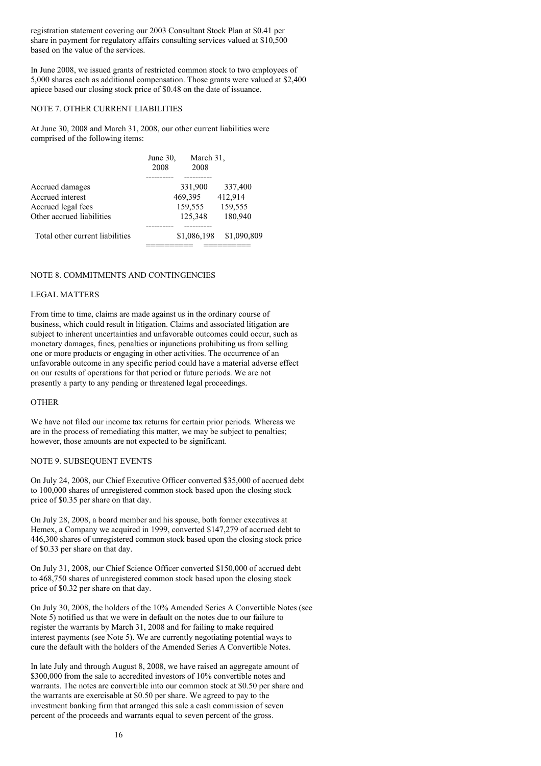registration statement covering our 2003 Consultant Stock Plan at \$0.41 per share in payment for regulatory affairs consulting services valued at \$10,500 based on the value of the services.

In June 2008, we issued grants of restricted common stock to two employees of 5,000 shares each as additional compensation. Those grants were valued at \$2,400 apiece based our closing stock price of \$0.48 on the date of issuance.

### NOTE 7. OTHER CURRENT LIABILITIES

At June 30, 2008 and March 31, 2008, our other current liabilities were comprised of the following items:

|                                 | June $30$ , | March 31,   |             |
|---------------------------------|-------------|-------------|-------------|
|                                 | 2008        | 2008        |             |
|                                 |             |             |             |
| Accrued damages                 |             | 331,900     | 337,400     |
| Accrued interest                |             | 469,395     | 412.914     |
| Accrued legal fees              |             | 159,555     | 159,555     |
| Other accrued liabilities       |             | 125.348     | 180.940     |
|                                 |             |             |             |
| Total other current liabilities |             | \$1,086,198 | \$1,090,809 |
|                                 |             |             |             |

### NOTE 8. COMMITMENTS AND CONTINGENCIES

## LEGAL MATTERS

From time to time, claims are made against us in the ordinary course of business, which could result in litigation. Claims and associated litigation are subject to inherent uncertainties and unfavorable outcomes could occur, such as monetary damages, fines, penalties or injunctions prohibiting us from selling one or more products or engaging in other activities. The occurrence of an unfavorable outcome in any specific period could have a material adverse effect on our results of operations for that period or future periods. We are not presently a party to any pending or threatened legal proceedings.

## **OTHER**

We have not filed our income tax returns for certain prior periods. Whereas we are in the process of remediating this matter, we may be subject to penalties; however, those amounts are not expected to be significant.

### NOTE 9. SUBSEQUENT EVENTS

On July 24, 2008, our Chief Executive Officer converted \$35,000 of accrued debt to 100,000 shares of unregistered common stock based upon the closing stock price of \$0.35 per share on that day.

On July 28, 2008, a board member and his spouse, both former executives at Hemex, a Company we acquired in 1999, converted \$147,279 of accrued debt to 446,300 shares of unregistered common stock based upon the closing stock price of \$0.33 per share on that day.

On July 31, 2008, our Chief Science Officer converted \$150,000 of accrued debt to 468,750 shares of unregistered common stock based upon the closing stock price of \$0.32 per share on that day.

On July 30, 2008, the holders of the 10% Amended Series A Convertible Notes (see Note 5) notified us that we were in default on the notes due to our failure to register the warrants by March 31, 2008 and for failing to make required interest payments (see Note 5). We are currently negotiating potential ways to cure the default with the holders of the Amended Series A Convertible Notes.

In late July and through August 8, 2008, we have raised an aggregate amount of \$300,000 from the sale to accredited investors of 10% convertible notes and warrants. The notes are convertible into our common stock at \$0.50 per share and the warrants are exercisable at \$0.50 per share. We agreed to pay to the investment banking firm that arranged this sale a cash commission of seven percent of the proceeds and warrants equal to seven percent of the gross.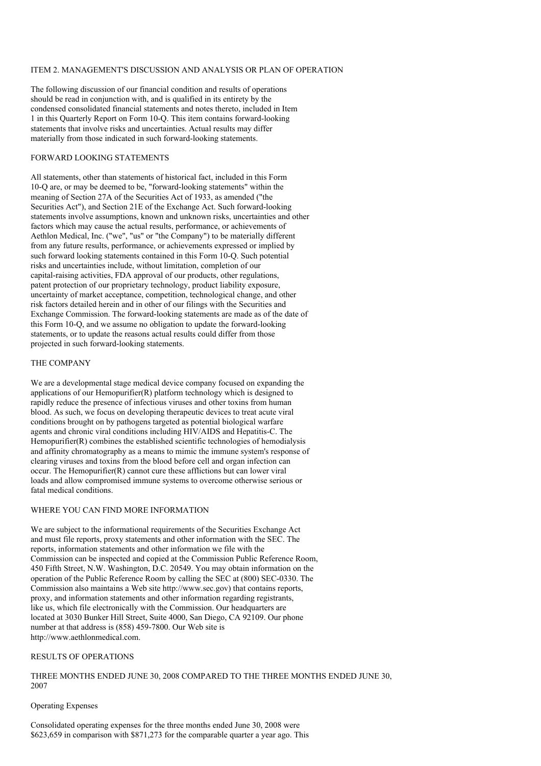### ITEM 2. MANAGEMENT'S DISCUSSION AND ANALYSIS OR PLAN OF OPERATION

The following discussion of our financial condition and results of operations should be read in conjunction with, and is qualified in its entirety by the condensed consolidated financial statements and notes thereto, included in Item 1 in this Quarterly Report on Form 10-Q. This item contains forward-looking statements that involve risks and uncertainties. Actual results may differ materially from those indicated in such forward-looking statements.

# FORWARD LOOKING STATEMENTS

All statements, other than statements of historical fact, included in this Form 10-Q are, or may be deemed to be, "forward-looking statements" within the meaning of Section 27A of the Securities Act of 1933, as amended ("the Securities Act"), and Section 21E of the Exchange Act. Such forward-looking statements involve assumptions, known and unknown risks, uncertainties and other factors which may cause the actual results, performance, or achievements of Aethlon Medical, Inc. ("we", "us" or "the Company") to be materially different from any future results, performance, or achievements expressed or implied by such forward looking statements contained in this Form 10-Q. Such potential risks and uncertainties include, without limitation, completion of our capital-raising activities, FDA approval of our products, other regulations, patent protection of our proprietary technology, product liability exposure, uncertainty of market acceptance, competition, technological change, and other risk factors detailed herein and in other of our filings with the Securities and Exchange Commission. The forward-looking statements are made as of the date of this Form 10-Q, and we assume no obligation to update the forward-looking statements, or to update the reasons actual results could differ from those projected in such forward-looking statements.

### THE COMPANY

We are a developmental stage medical device company focused on expanding the applications of our Hemopurifier(R) platform technology which is designed to rapidly reduce the presence of infectious viruses and other toxins from human blood. As such, we focus on developing therapeutic devices to treat acute viral conditions brought on by pathogens targeted as potential biological warfare agents and chronic viral conditions including HIV/AIDS and Hepatitis-C. The Hemopurifier(R) combines the established scientific technologies of hemodialysis and affinity chromatography as a means to mimic the immune system's response of clearing viruses and toxins from the blood before cell and organ infection can occur. The Hemopurifier(R) cannot cure these afflictions but can lower viral loads and allow compromised immune systems to overcome otherwise serious or fatal medical conditions.

## WHERE YOU CAN FIND MORE INFORMATION

We are subject to the informational requirements of the Securities Exchange Act and must file reports, proxy statements and other information with the SEC. The reports, information statements and other information we file with the Commission can be inspected and copied at the Commission Public Reference Room, 450 Fifth Street, N.W. Washington, D.C. 20549. You may obtain information on the operation of the Public Reference Room by calling the SEC at (800) SEC-0330. The Commission also maintains a Web site http://www.sec.gov) that contains reports, proxy, and information statements and other information regarding registrants, like us, which file electronically with the Commission. Our headquarters are located at 3030 Bunker Hill Street, Suite 4000, San Diego, CA 92109. Our phone number at that address is (858) 459-7800. Our Web site is http://www.aethlonmedical.com.

### RESULTS OF OPERATIONS

THREE MONTHS ENDED JUNE 30, 2008 COMPARED TO THE THREE MONTHS ENDED JUNE 30, 2007

### Operating Expenses

Consolidated operating expenses for the three months ended June 30, 2008 were \$623,659 in comparison with \$871,273 for the comparable quarter a year ago. This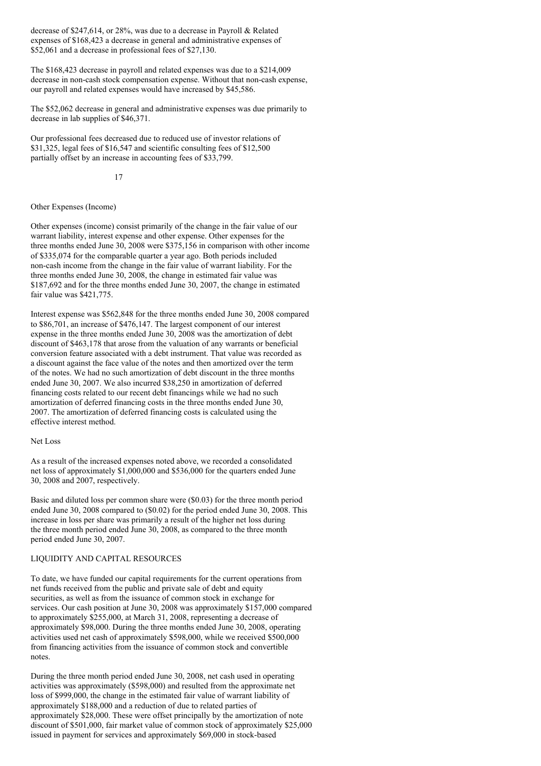decrease of \$247,614, or 28%, was due to a decrease in Payroll & Related expenses of \$168,423 a decrease in general and administrative expenses of \$52,061 and a decrease in professional fees of \$27,130.

The \$168,423 decrease in payroll and related expenses was due to a \$214,009 decrease in non-cash stock compensation expense. Without that non-cash expense, our payroll and related expenses would have increased by \$45,586.

The \$52,062 decrease in general and administrative expenses was due primarily to decrease in lab supplies of \$46,371.

Our professional fees decreased due to reduced use of investor relations of \$31,325, legal fees of \$16,547 and scientific consulting fees of \$12,500 partially offset by an increase in accounting fees of \$33,799.

17

## Other Expenses (Income)

Other expenses (income) consist primarily of the change in the fair value of our warrant liability, interest expense and other expense. Other expenses for the three months ended June 30, 2008 were \$375,156 in comparison with other income of \$335,074 for the comparable quarter a year ago. Both periods included non-cash income from the change in the fair value of warrant liability. For the three months ended June 30, 2008, the change in estimated fair value was \$187,692 and for the three months ended June 30, 2007, the change in estimated fair value was \$421,775.

Interest expense was \$562,848 for the three months ended June 30, 2008 compared to \$86,701, an increase of \$476,147. The largest component of our interest expense in the three months ended June 30, 2008 was the amortization of debt discount of \$463,178 that arose from the valuation of any warrants or beneficial conversion feature associated with a debt instrument. That value was recorded as a discount against the face value of the notes and then amortized over the term of the notes. We had no such amortization of debt discount in the three months ended June 30, 2007. We also incurred \$38,250 in amortization of deferred financing costs related to our recent debt financings while we had no such amortization of deferred financing costs in the three months ended June 30, 2007. The amortization of deferred financing costs is calculated using the effective interest method.

### Net Loss

As a result of the increased expenses noted above, we recorded a consolidated net loss of approximately \$1,000,000 and \$536,000 for the quarters ended June 30, 2008 and 2007, respectively.

Basic and diluted loss per common share were (\$0.03) for the three month period ended June 30, 2008 compared to (\$0.02) for the period ended June 30, 2008. This increase in loss per share was primarily a result of the higher net loss during the three month period ended June 30, 2008, as compared to the three month period ended June 30, 2007.

## LIQUIDITY AND CAPITAL RESOURCES

To date, we have funded our capital requirements for the current operations from net funds received from the public and private sale of debt and equity securities, as well as from the issuance of common stock in exchange for services. Our cash position at June 30, 2008 was approximately \$157,000 compared to approximately \$255,000, at March 31, 2008, representing a decrease of approximately \$98,000. During the three months ended June 30, 2008, operating activities used net cash of approximately \$598,000, while we received \$500,000 from financing activities from the issuance of common stock and convertible notes.

During the three month period ended June 30, 2008, net cash used in operating activities was approximately (\$598,000) and resulted from the approximate net loss of \$999,000, the change in the estimated fair value of warrant liability of approximately \$188,000 and a reduction of due to related parties of approximately \$28,000. These were offset principally by the amortization of note discount of \$501,000, fair market value of common stock of approximately \$25,000 issued in payment for services and approximately \$69,000 in stock-based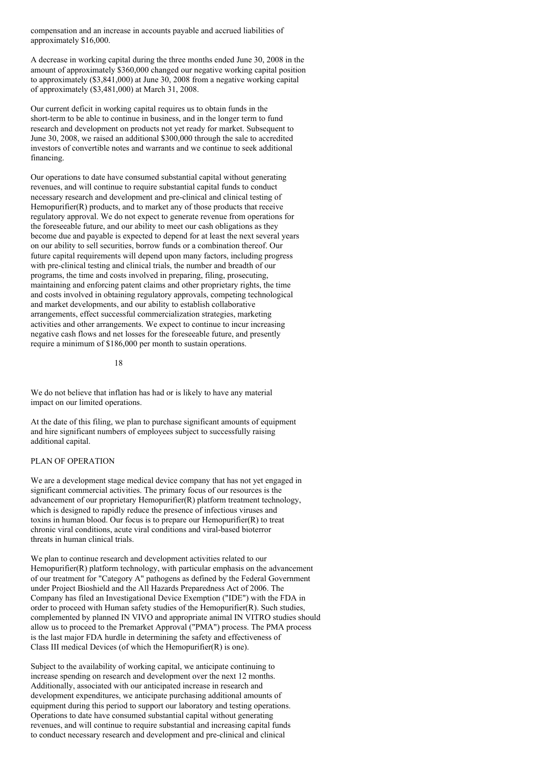compensation and an increase in accounts payable and accrued liabilities of approximately \$16,000.

A decrease in working capital during the three months ended June 30, 2008 in the amount of approximately \$360,000 changed our negative working capital position to approximately (\$3,841,000) at June 30, 2008 from a negative working capital of approximately (\$3,481,000) at March 31, 2008.

Our current deficit in working capital requires us to obtain funds in the short-term to be able to continue in business, and in the longer term to fund research and development on products not yet ready for market. Subsequent to June 30, 2008, we raised an additional \$300,000 through the sale to accredited investors of convertible notes and warrants and we continue to seek additional financing.

Our operations to date have consumed substantial capital without generating revenues, and will continue to require substantial capital funds to conduct necessary research and development and pre-clinical and clinical testing of Hemopurifier(R) products, and to market any of those products that receive regulatory approval. We do not expect to generate revenue from operations for the foreseeable future, and our ability to meet our cash obligations as they become due and payable is expected to depend for at least the next several years on our ability to sell securities, borrow funds or a combination thereof. Our future capital requirements will depend upon many factors, including progress with pre-clinical testing and clinical trials, the number and breadth of our programs, the time and costs involved in preparing, filing, prosecuting, maintaining and enforcing patent claims and other proprietary rights, the time and costs involved in obtaining regulatory approvals, competing technological and market developments, and our ability to establish collaborative arrangements, effect successful commercialization strategies, marketing activities and other arrangements. We expect to continue to incur increasing negative cash flows and net losses for the foreseeable future, and presently require a minimum of \$186,000 per month to sustain operations.

18

We do not believe that inflation has had or is likely to have any material impact on our limited operations.

At the date of this filing, we plan to purchase significant amounts of equipment and hire significant numbers of employees subject to successfully raising additional capital.

## PLAN OF OPERATION

We are a development stage medical device company that has not yet engaged in significant commercial activities. The primary focus of our resources is the advancement of our proprietary Hemopurifier(R) platform treatment technology, which is designed to rapidly reduce the presence of infectious viruses and toxins in human blood. Our focus is to prepare our Hemopurifier(R) to treat chronic viral conditions, acute viral conditions and viral-based bioterror threats in human clinical trials.

We plan to continue research and development activities related to our Hemopurifier(R) platform technology, with particular emphasis on the advancement of our treatment for "Category A" pathogens as defined by the Federal Government under Project Bioshield and the All Hazards Preparedness Act of 2006. The Company has filed an Investigational Device Exemption ("IDE") with the FDA in order to proceed with Human safety studies of the Hemopurifier(R). Such studies, complemented by planned IN VIVO and appropriate animal IN VITRO studies should allow us to proceed to the Premarket Approval ("PMA") process. The PMA process is the last major FDA hurdle in determining the safety and effectiveness of Class III medical Devices (of which the Hemopurifier(R) is one).

Subject to the availability of working capital, we anticipate continuing to increase spending on research and development over the next 12 months. Additionally, associated with our anticipated increase in research and development expenditures, we anticipate purchasing additional amounts of equipment during this period to support our laboratory and testing operations. Operations to date have consumed substantial capital without generating revenues, and will continue to require substantial and increasing capital funds to conduct necessary research and development and pre-clinical and clinical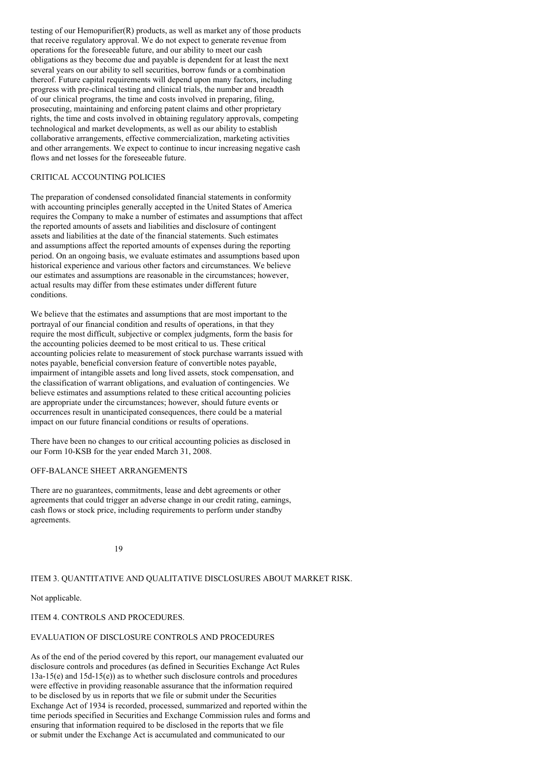testing of our Hemopurifier(R) products, as well as market any of those products that receive regulatory approval. We do not expect to generate revenue from operations for the foreseeable future, and our ability to meet our cash obligations as they become due and payable is dependent for at least the next several years on our ability to sell securities, borrow funds or a combination thereof. Future capital requirements will depend upon many factors, including progress with pre-clinical testing and clinical trials, the number and breadth of our clinical programs, the time and costs involved in preparing, filing, prosecuting, maintaining and enforcing patent claims and other proprietary rights, the time and costs involved in obtaining regulatory approvals, competing technological and market developments, as well as our ability to establish collaborative arrangements, effective commercialization, marketing activities and other arrangements. We expect to continue to incur increasing negative cash flows and net losses for the foreseeable future.

# CRITICAL ACCOUNTING POLICIES

The preparation of condensed consolidated financial statements in conformity with accounting principles generally accepted in the United States of America requires the Company to make a number of estimates and assumptions that affect the reported amounts of assets and liabilities and disclosure of contingent assets and liabilities at the date of the financial statements. Such estimates and assumptions affect the reported amounts of expenses during the reporting period. On an ongoing basis, we evaluate estimates and assumptions based upon historical experience and various other factors and circumstances. We believe our estimates and assumptions are reasonable in the circumstances; however, actual results may differ from these estimates under different future conditions.

We believe that the estimates and assumptions that are most important to the portrayal of our financial condition and results of operations, in that they require the most difficult, subjective or complex judgments, form the basis for the accounting policies deemed to be most critical to us. These critical accounting policies relate to measurement of stock purchase warrants issued with notes payable, beneficial conversion feature of convertible notes payable, impairment of intangible assets and long lived assets, stock compensation, and the classification of warrant obligations, and evaluation of contingencies. We believe estimates and assumptions related to these critical accounting policies are appropriate under the circumstances; however, should future events or occurrences result in unanticipated consequences, there could be a material impact on our future financial conditions or results of operations.

There have been no changes to our critical accounting policies as disclosed in our Form 10-KSB for the year ended March 31, 2008.

## OFF-BALANCE SHEET ARRANGEMENTS

There are no guarantees, commitments, lease and debt agreements or other agreements that could trigger an adverse change in our credit rating, earnings, cash flows or stock price, including requirements to perform under standby agreements.

19

# ITEM 3. QUANTITATIVE AND QUALITATIVE DISCLOSURES ABOUT MARKET RISK.

# Not applicable.

# ITEM 4. CONTROLS AND PROCEDURES.

# EVALUATION OF DISCLOSURE CONTROLS AND PROCEDURES

As of the end of the period covered by this report, our management evaluated our disclosure controls and procedures (as defined in Securities Exchange Act Rules 13a-15(e) and 15d-15(e)) as to whether such disclosure controls and procedures were effective in providing reasonable assurance that the information required to be disclosed by us in reports that we file or submit under the Securities Exchange Act of 1934 is recorded, processed, summarized and reported within the time periods specified in Securities and Exchange Commission rules and forms and ensuring that information required to be disclosed in the reports that we file or submit under the Exchange Act is accumulated and communicated to our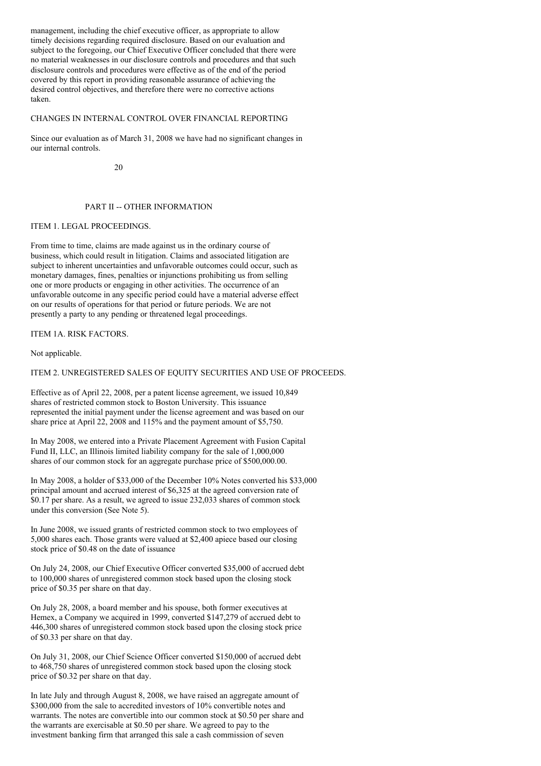management, including the chief executive officer, as appropriate to allow timely decisions regarding required disclosure. Based on our evaluation and subject to the foregoing, our Chief Executive Officer concluded that there were no material weaknesses in our disclosure controls and procedures and that such disclosure controls and procedures were effective as of the end of the period covered by this report in providing reasonable assurance of achieving the desired control objectives, and therefore there were no corrective actions taken.

# CHANGES IN INTERNAL CONTROL OVER FINANCIAL REPORTING

Since our evaluation as of March 31, 2008 we have had no significant changes in our internal controls.

 $20$ 

## PART II -- OTHER INFORMATION

# ITEM 1. LEGAL PROCEEDINGS.

From time to time, claims are made against us in the ordinary course of business, which could result in litigation. Claims and associated litigation are subject to inherent uncertainties and unfavorable outcomes could occur, such as monetary damages, fines, penalties or injunctions prohibiting us from selling one or more products or engaging in other activities. The occurrence of an unfavorable outcome in any specific period could have a material adverse effect on our results of operations for that period or future periods. We are not presently a party to any pending or threatened legal proceedings.

ITEM 1A. RISK FACTORS.

Not applicable.

# ITEM 2. UNREGISTERED SALES OF EQUITY SECURITIES AND USE OF PROCEEDS.

Effective as of April 22, 2008, per a patent license agreement, we issued 10,849 shares of restricted common stock to Boston University. This issuance represented the initial payment under the license agreement and was based on our share price at April 22, 2008 and 115% and the payment amount of \$5,750.

In May 2008, we entered into a Private Placement Agreement with Fusion Capital Fund II, LLC, an Illinois limited liability company for the sale of 1,000,000 shares of our common stock for an aggregate purchase price of \$500,000.00.

In May 2008, a holder of \$33,000 of the December 10% Notes converted his \$33,000 principal amount and accrued interest of \$6,325 at the agreed conversion rate of \$0.17 per share. As a result, we agreed to issue 232,033 shares of common stock under this conversion (See Note 5).

In June 2008, we issued grants of restricted common stock to two employees of 5,000 shares each. Those grants were valued at \$2,400 apiece based our closing stock price of \$0.48 on the date of issuance

On July 24, 2008, our Chief Executive Officer converted \$35,000 of accrued debt to 100,000 shares of unregistered common stock based upon the closing stock price of \$0.35 per share on that day.

On July 28, 2008, a board member and his spouse, both former executives at Hemex, a Company we acquired in 1999, converted \$147,279 of accrued debt to 446,300 shares of unregistered common stock based upon the closing stock price of \$0.33 per share on that day.

On July 31, 2008, our Chief Science Officer converted \$150,000 of accrued debt to 468,750 shares of unregistered common stock based upon the closing stock price of \$0.32 per share on that day.

In late July and through August 8, 2008, we have raised an aggregate amount of \$300,000 from the sale to accredited investors of 10% convertible notes and warrants. The notes are convertible into our common stock at \$0.50 per share and the warrants are exercisable at \$0.50 per share. We agreed to pay to the investment banking firm that arranged this sale a cash commission of seven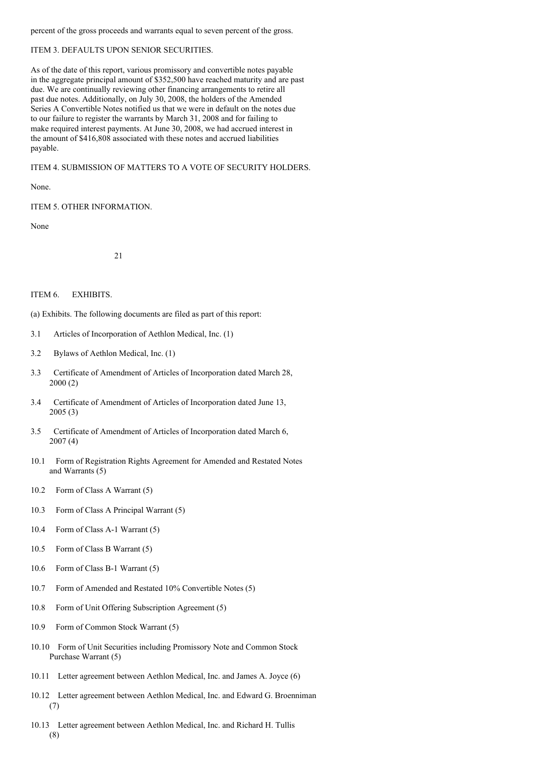percent of the gross proceeds and warrants equal to seven percent of the gross.

### ITEM 3. DEFAULTS UPON SENIOR SECURITIES.

As of the date of this report, various promissory and convertible notes payable in the aggregate principal amount of \$352,500 have reached maturity and are past due. We are continually reviewing other financing arrangements to retire all past due notes. Additionally, on July 30, 2008, the holders of the Amended Series A Convertible Notes notified us that we were in default on the notes due to our failure to register the warrants by March 31, 2008 and for failing to make required interest payments. At June 30, 2008, we had accrued interest in the amount of \$416,808 associated with these notes and accrued liabilities payable.

### ITEM 4. SUBMISSION OF MATTERS TO A VOTE OF SECURITY HOLDERS.

None.

### ITEM 5. OTHER INFORMATION.

None

21

# ITEM 6. EXHIBITS.

(a) Exhibits. The following documents are filed as part of this report:

- 3.1 Articles of Incorporation of Aethlon Medical, Inc. (1)
- 3.2 Bylaws of Aethlon Medical, Inc. (1)
- 3.3 Certificate of Amendment of Articles of Incorporation dated March 28, 2000 (2)
- 3.4 Certificate of Amendment of Articles of Incorporation dated June 13, 2005 (3)
- 3.5 Certificate of Amendment of Articles of Incorporation dated March 6, 2007 (4)
- 10.1 Form of Registration Rights Agreement for Amended and Restated Notes and Warrants (5)
- 10.2 Form of Class A Warrant (5)
- 10.3 Form of Class A Principal Warrant (5)
- 10.4 Form of Class A-1 Warrant (5)
- 10.5 Form of Class B Warrant (5)
- 10.6 Form of Class B-1 Warrant (5)
- 10.7 Form of Amended and Restated 10% Convertible Notes (5)
- 10.8 Form of Unit Offering Subscription Agreement (5)
- 10.9 Form of Common Stock Warrant (5)
- 10.10 Form of Unit Securities including Promissory Note and Common Stock Purchase Warrant (5)
- 10.11 Letter agreement between Aethlon Medical, Inc. and James A. Joyce (6)
- 10.12 Letter agreement between Aethlon Medical, Inc. and Edward G. Broenniman (7)
- 10.13 Letter agreement between Aethlon Medical, Inc. and Richard H. Tullis (8)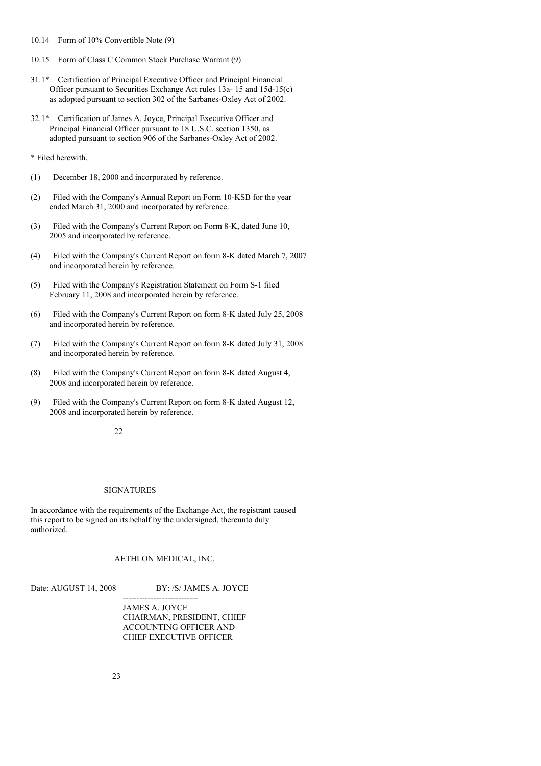- 10.14 Form of 10% Convertible Note (9)
- 10.15 Form of Class C Common Stock Purchase Warrant (9)
- 31.1\* Certification of Principal Executive Officer and Principal Financial Officer pursuant to Securities Exchange Act rules 13a- 15 and 15d-15(c) as adopted pursuant to section 302 of the Sarbanes-Oxley Act of 2002.
- 32.1\* Certification of James A. Joyce, Principal Executive Officer and Principal Financial Officer pursuant to 18 U.S.C. section 1350, as adopted pursuant to section 906 of the Sarbanes-Oxley Act of 2002.

\* Filed herewith.

- (1) December 18, 2000 and incorporated by reference.
- (2) Filed with the Company's Annual Report on Form 10-KSB for the year ended March 31, 2000 and incorporated by reference.
- (3) Filed with the Company's Current Report on Form 8-K, dated June 10, 2005 and incorporated by reference.
- (4) Filed with the Company's Current Report on form 8-K dated March 7, 2007 and incorporated herein by reference.
- (5) Filed with the Company's Registration Statement on Form S-1 filed February 11, 2008 and incorporated herein by reference.
- (6) Filed with the Company's Current Report on form 8-K dated July 25, 2008 and incorporated herein by reference.
- (7) Filed with the Company's Current Report on form 8-K dated July 31, 2008 and incorporated herein by reference.
- (8) Filed with the Company's Current Report on form 8-K dated August 4, 2008 and incorporated herein by reference.
- (9) Filed with the Company's Current Report on form 8-K dated August 12, 2008 and incorporated herein by reference.

 $22$ 

#### SIGNATURES

In accordance with the requirements of the Exchange Act, the registrant caused this report to be signed on its behalf by the undersigned, thereunto duly authorized.

#### AETHLON MEDICAL, INC.

Date: AUGUST 14, 2008 BY: /S/ JAMES A. JOYCE

JAMES A. JOYCE CHAIRMAN, PRESIDENT, CHIEF ACCOUNTING OFFICER AND CHIEF EXECUTIVE OFFICER

---------------------------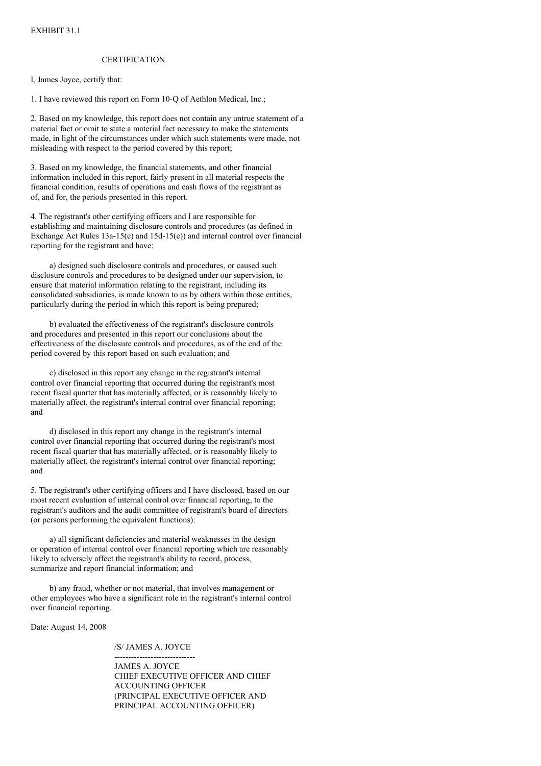# **CERTIFICATION**

I, James Joyce, certify that:

1. I have reviewed this report on Form 10-Q of Aethlon Medical, Inc.;

2. Based on my knowledge, this report does not contain any untrue statement of a material fact or omit to state a material fact necessary to make the statements made, in light of the circumstances under which such statements were made, not misleading with respect to the period covered by this report;

3. Based on my knowledge, the financial statements, and other financial information included in this report, fairly present in all material respects the financial condition, results of operations and cash flows of the registrant as of, and for, the periods presented in this report.

4. The registrant's other certifying officers and I are responsible for establishing and maintaining disclosure controls and procedures (as defined in Exchange Act Rules  $13a-15(e)$  and  $15d-15(e)$ ) and internal control over financial reporting for the registrant and have:

a) designed such disclosure controls and procedures, or caused such disclosure controls and procedures to be designed under our supervision, to ensure that material information relating to the registrant, including its consolidated subsidiaries, is made known to us by others within those entities, particularly during the period in which this report is being prepared;

b) evaluated the effectiveness of the registrant's disclosure controls and procedures and presented in this report our conclusions about the effectiveness of the disclosure controls and procedures, as of the end of the period covered by this report based on such evaluation; and

c) disclosed in this report any change in the registrant's internal control over financial reporting that occurred during the registrant's most recent fiscal quarter that has materially affected, or is reasonably likely to materially affect, the registrant's internal control over financial reporting; and

d) disclosed in this report any change in the registrant's internal control over financial reporting that occurred during the registrant's most recent fiscal quarter that has materially affected, or is reasonably likely to materially affect, the registrant's internal control over financial reporting; and

5. The registrant's other certifying officers and I have disclosed, based on our most recent evaluation of internal control over financial reporting, to the registrant's auditors and the audit committee of registrant's board of directors (or persons performing the equivalent functions):

a) all significant deficiencies and material weaknesses in the design or operation of internal control over financial reporting which are reasonably likely to adversely affect the registrant's ability to record, process, summarize and report financial information; and

b) any fraud, whether or not material, that involves management or other employees who have a significant role in the registrant's internal control over financial reporting.

Date: August 14, 2008

/S/ JAMES A. JOYCE -----------------------------

JAMES A. JOYCE CHIEF EXECUTIVE OFFICER AND CHIEF ACCOUNTING OFFICER (PRINCIPAL EXECUTIVE OFFICER AND PRINCIPAL ACCOUNTING OFFICER)